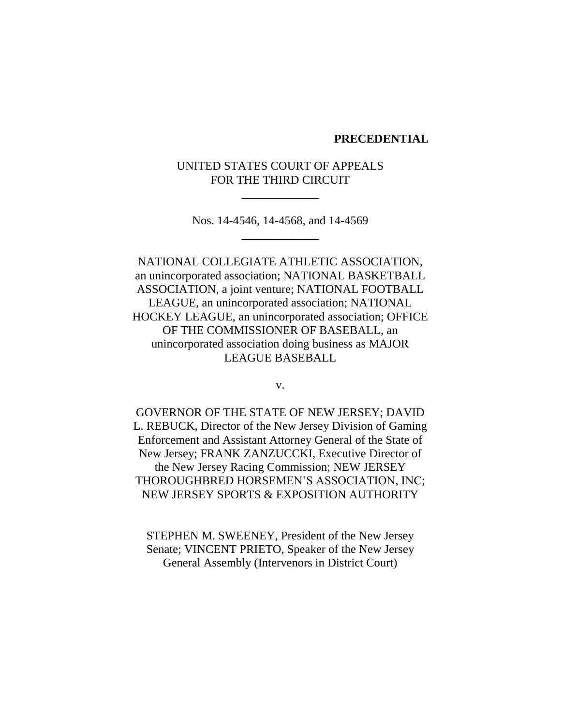### **PRECEDENTIAL**

# UNITED STATES COURT OF APPEALS FOR THE THIRD CIRCUIT

\_\_\_\_\_\_\_\_\_\_\_\_\_

Nos. 14-4546, 14-4568, and 14-4569 \_\_\_\_\_\_\_\_\_\_\_\_\_

NATIONAL COLLEGIATE ATHLETIC ASSOCIATION, an unincorporated association; NATIONAL BASKETBALL ASSOCIATION, a joint venture; NATIONAL FOOTBALL LEAGUE, an unincorporated association; NATIONAL HOCKEY LEAGUE, an unincorporated association; OFFICE OF THE COMMISSIONER OF BASEBALL, an unincorporated association doing business as MAJOR LEAGUE BASEBALL

v.

GOVERNOR OF THE STATE OF NEW JERSEY; DAVID L. REBUCK, Director of the New Jersey Division of Gaming Enforcement and Assistant Attorney General of the State of New Jersey; FRANK ZANZUCCKI, Executive Director of the New Jersey Racing Commission; NEW JERSEY THOROUGHBRED HORSEMEN'S ASSOCIATION, INC; NEW JERSEY SPORTS & EXPOSITION AUTHORITY

STEPHEN M. SWEENEY, President of the New Jersey Senate; VINCENT PRIETO, Speaker of the New Jersey General Assembly (Intervenors in District Court)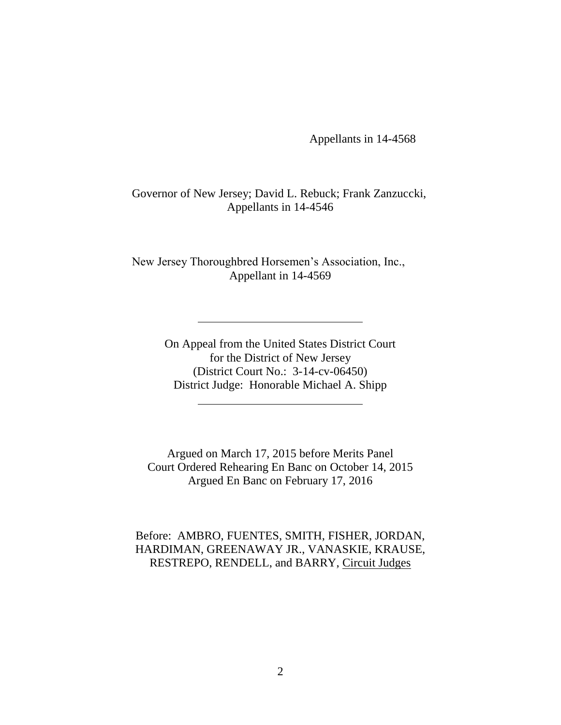Appellants in 14-4568

Governor of New Jersey; David L. Rebuck; Frank Zanzuccki, Appellants in 14-4546

New Jersey Thoroughbred Horsemen's Association, Inc., Appellant in 14-4569

> On Appeal from the United States District Court for the District of New Jersey (District Court No.: 3-14-cv-06450) District Judge: Honorable Michael A. Shipp

Argued on March 17, 2015 before Merits Panel Court Ordered Rehearing En Banc on October 14, 2015 Argued En Banc on February 17, 2016

Before: AMBRO, FUENTES, SMITH, FISHER, JORDAN, HARDIMAN, GREENAWAY JR., VANASKIE, KRAUSE, RESTREPO, RENDELL, and BARRY, Circuit Judges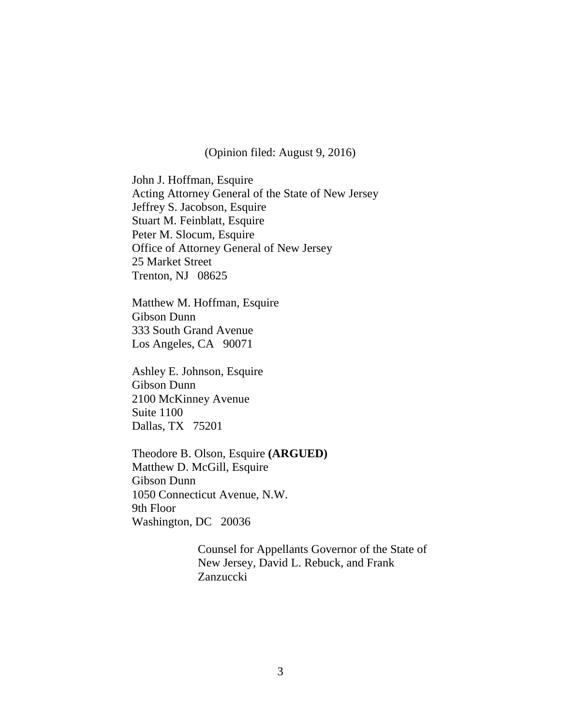(Opinion filed: August 9, 2016)

John J. Hoffman, Esquire Acting Attorney General of the State of New Jersey Jeffrey S. Jacobson, Esquire Stuart M. Feinblatt, Esquire Peter M. Slocum, Esquire Office of Attorney General of New Jersey 25 Market Street Trenton, NJ 08625

Matthew M. Hoffman, Esquire Gibson Dunn 333 South Grand Avenue Los Angeles, CA 90071

Ashley E. Johnson, Esquire Gibson Dunn 2100 McKinney Avenue Suite 1100 Dallas, TX 75201

Theodore B. Olson, Esquire **(ARGUED)** Matthew D. McGill, Esquire Gibson Dunn 1050 Connecticut Avenue, N.W. 9th Floor Washington, DC 20036

> Counsel for Appellants Governor of the State of New Jersey, David L. Rebuck, and Frank Zanzuccki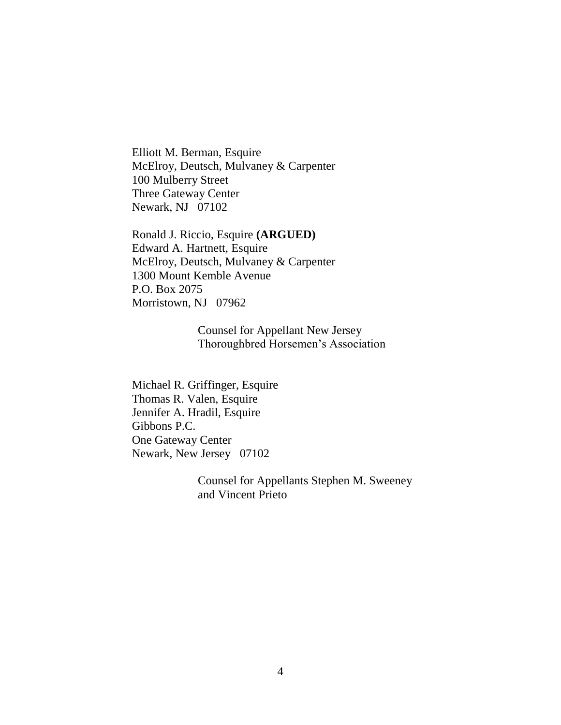Elliott M. Berman, Esquire McElroy, Deutsch, Mulvaney & Carpenter 100 Mulberry Street Three Gateway Center Newark, NJ 07102

Ronald J. Riccio, Esquire **(ARGUED)** Edward A. Hartnett, Esquire McElroy, Deutsch, Mulvaney & Carpenter 1300 Mount Kemble Avenue P.O. Box 2075 Morristown, NJ 07962

> Counsel for Appellant New Jersey Thoroughbred Horsemen's Association

Michael R. Griffinger, Esquire Thomas R. Valen, Esquire Jennifer A. Hradil, Esquire Gibbons P.C. One Gateway Center Newark, New Jersey 07102

> Counsel for Appellants Stephen M. Sweeney and Vincent Prieto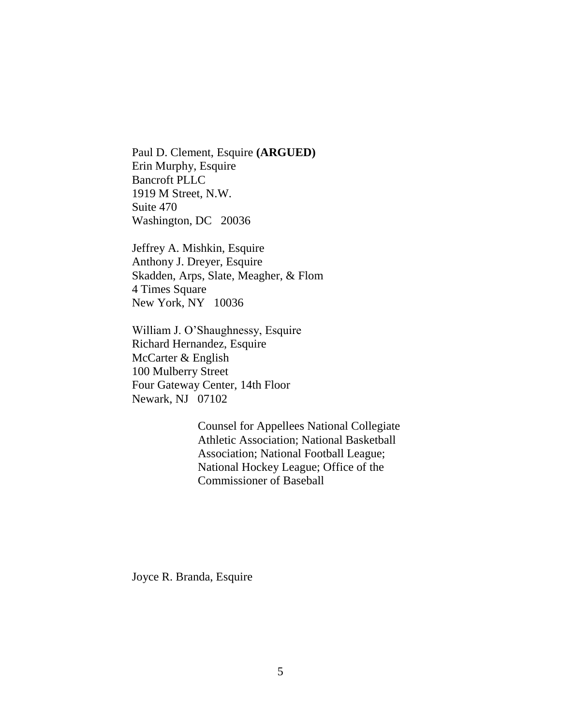Paul D. Clement, Esquire **(ARGUED)** Erin Murphy, Esquire Bancroft PLLC 1919 M Street, N.W. Suite 470 Washington, DC 20036

Jeffrey A. Mishkin, Esquire Anthony J. Dreyer, Esquire Skadden, Arps, Slate, Meagher, & Flom 4 Times Square New York, NY 10036

William J. O'Shaughnessy, Esquire Richard Hernandez, Esquire McCarter & English 100 Mulberry Street Four Gateway Center, 14th Floor Newark, NJ 07102

> Counsel for Appellees National Collegiate Athletic Association; National Basketball Association; National Football League; National Hockey League; Office of the Commissioner of Baseball

Joyce R. Branda, Esquire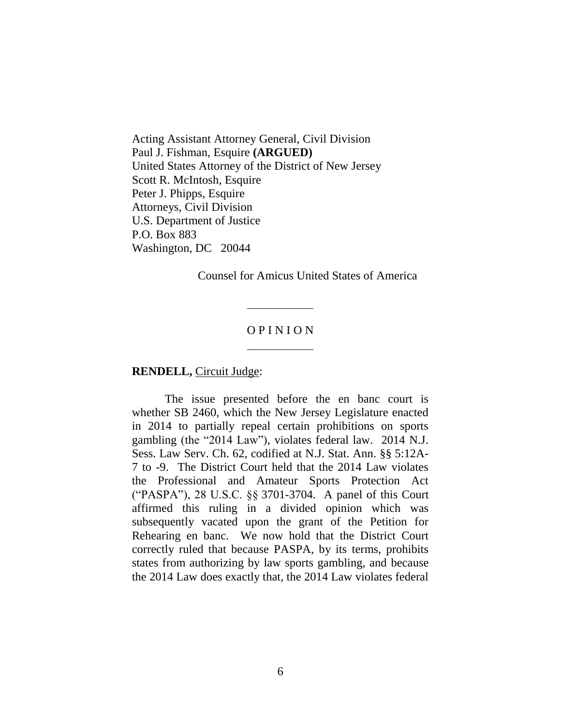Acting Assistant Attorney General, Civil Division Paul J. Fishman, Esquire **(ARGUED)** United States Attorney of the District of New Jersey Scott R. McIntosh, Esquire Peter J. Phipps, Esquire Attorneys, Civil Division U.S. Department of Justice P.O. Box 883 Washington, DC 20044

Counsel for Amicus United States of America

## O P I N I O N

#### **RENDELL,** Circuit Judge:

The issue presented before the en banc court is whether SB 2460, which the New Jersey Legislature enacted in 2014 to partially repeal certain prohibitions on sports gambling (the "2014 Law"), violates federal law. 2014 N.J. Sess. Law Serv. Ch. 62, codified at N.J. Stat. Ann. §§ 5:12A-7 to -9. The District Court held that the 2014 Law violates the Professional and Amateur Sports Protection Act ("PASPA"), 28 U.S.C. §§ 3701-3704. A panel of this Court affirmed this ruling in a divided opinion which was subsequently vacated upon the grant of the Petition for Rehearing en banc. We now hold that the District Court correctly ruled that because PASPA, by its terms, prohibits states from authorizing by law sports gambling, and because the 2014 Law does exactly that, the 2014 Law violates federal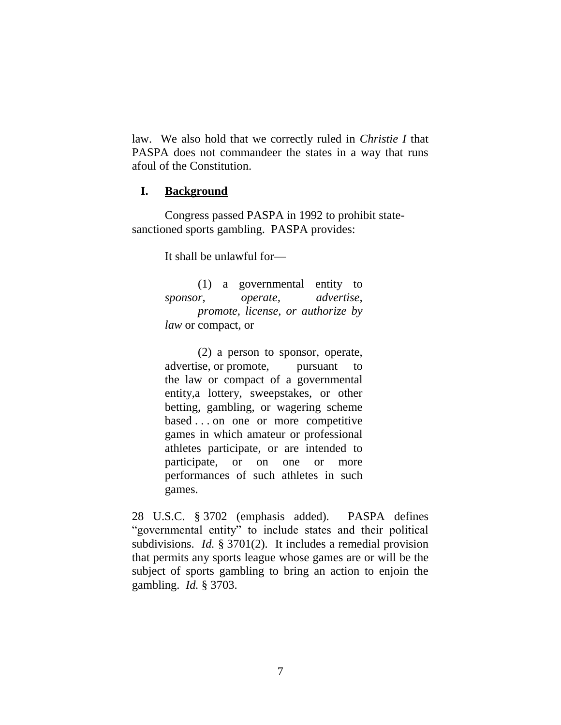law. We also hold that we correctly ruled in *Christie I* that PASPA does not commandeer the states in a way that runs afoul of the Constitution.

## **I. Background**

Congress passed PASPA in 1992 to prohibit statesanctioned sports gambling. PASPA provides:

It shall be unlawful for—

(1) a governmental entity to *sponsor, operate, advertise, promote, license, or authorize by law* or compact, or

(2) a person to sponsor, operate, advertise, or promote, pursuant to the law or compact of a governmental entity,a lottery, sweepstakes, or other betting, gambling, or wagering scheme based . . . on one or more competitive games in which amateur or professional athletes participate, or are intended to participate, or on one or more performances of such athletes in such games.

28 U.S.C. § 3702 (emphasis added). PASPA defines "governmental entity" to include states and their political subdivisions. *Id.* § 3701(2). It includes a remedial provision that permits any sports league whose games are or will be the subject of sports gambling to bring an action to enjoin the gambling. *Id.* § 3703.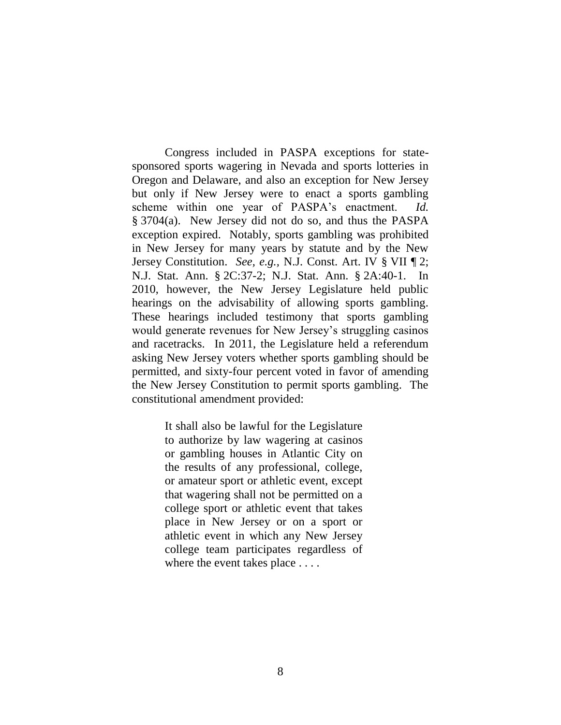Congress included in PASPA exceptions for statesponsored sports wagering in Nevada and sports lotteries in Oregon and Delaware, and also an exception for New Jersey but only if New Jersey were to enact a sports gambling scheme within one year of PASPA's enactment. *Id.* § 3704(a). New Jersey did not do so, and thus the PASPA exception expired. Notably, sports gambling was prohibited in New Jersey for many years by statute and by the New Jersey Constitution. *See, e.g.,* N.J. Const. Art. IV § VII ¶ 2; N.J. Stat. Ann. § 2C:37-2; N.J. Stat. Ann. § 2A:40-1. In 2010, however, the New Jersey Legislature held public hearings on the advisability of allowing sports gambling. These hearings included testimony that sports gambling would generate revenues for New Jersey's struggling casinos and racetracks. In 2011, the Legislature held a referendum asking New Jersey voters whether sports gambling should be permitted, and sixty-four percent voted in favor of amending the New Jersey Constitution to permit sports gambling. The constitutional amendment provided:

> It shall also be lawful for the Legislature to authorize by law wagering at casinos or gambling houses in Atlantic City on the results of any professional, college, or amateur sport or athletic event, except that wagering shall not be permitted on a college sport or athletic event that takes place in New Jersey or on a sport or athletic event in which any New Jersey college team participates regardless of where the event takes place  $\dots$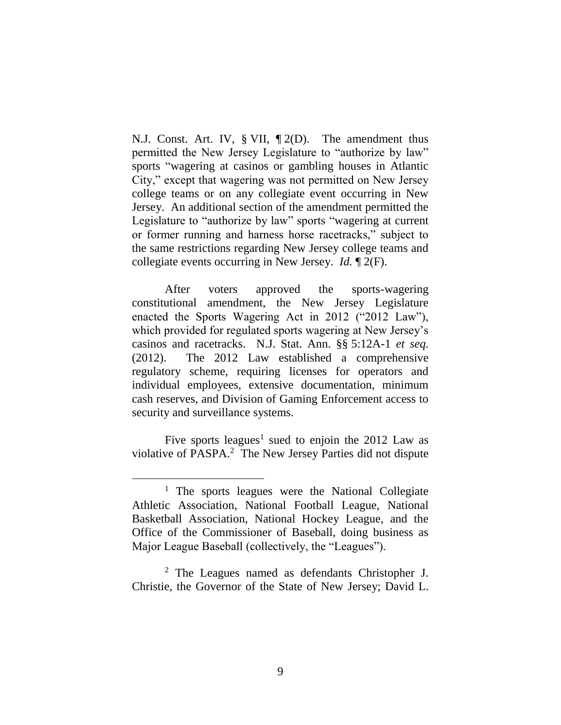N.J. Const. Art. IV, § VII, ¶ 2(D). The amendment thus permitted the New Jersey Legislature to "authorize by law" sports "wagering at casinos or gambling houses in Atlantic City," except that wagering was not permitted on New Jersey college teams or on any collegiate event occurring in New Jersey. An additional section of the amendment permitted the Legislature to "authorize by law" sports "wagering at current or former running and harness horse racetracks," subject to the same restrictions regarding New Jersey college teams and collegiate events occurring in New Jersey. *Id.* ¶ 2(F).

After voters approved the sports-wagering constitutional amendment, the New Jersey Legislature enacted the Sports Wagering Act in 2012 ("2012 Law"), which provided for regulated sports wagering at New Jersey's casinos and racetracks. N.J. Stat. Ann. §§ 5:12A-1 *et seq.* (2012). The 2012 Law established a comprehensive regulatory scheme, requiring licenses for operators and individual employees, extensive documentation, minimum cash reserves, and Division of Gaming Enforcement access to security and surveillance systems.

Five sports leagues<sup>1</sup> sued to enjoin the 2012 Law as violative of PASPA.<sup>2</sup> The New Jersey Parties did not dispute

<sup>&</sup>lt;sup>1</sup> The sports leagues were the National Collegiate Athletic Association, National Football League, National Basketball Association, National Hockey League, and the Office of the Commissioner of Baseball, doing business as Major League Baseball (collectively, the "Leagues").

<sup>2</sup> The Leagues named as defendants Christopher J. Christie, the Governor of the State of New Jersey; David L.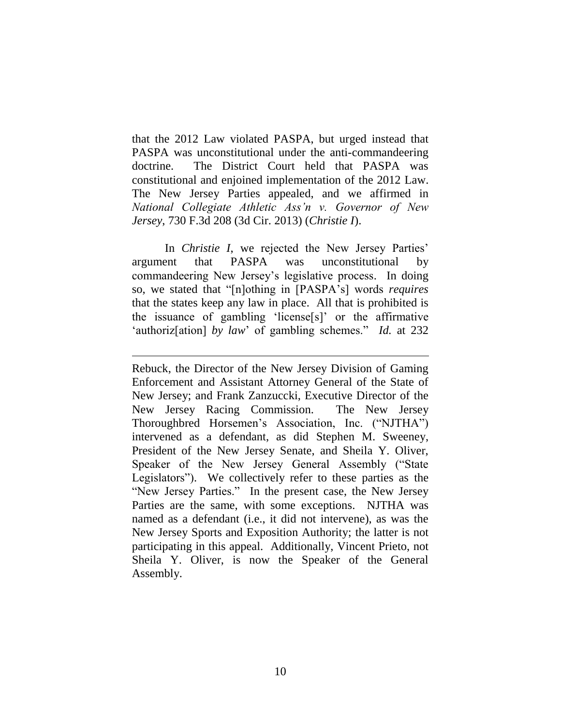that the 2012 Law violated PASPA, but urged instead that PASPA was unconstitutional under the anti-commandeering doctrine. The District Court held that PASPA was constitutional and enjoined implementation of the 2012 Law. The New Jersey Parties appealed, and we affirmed in *National Collegiate Athletic Ass'n v. Governor of New Jersey*, 730 F.3d 208 (3d Cir. 2013) (*Christie I*).

In *Christie I*, we rejected the New Jersey Parties' argument that PASPA was unconstitutional by commandeering New Jersey's legislative process. In doing so, we stated that "[n]othing in [PASPA's] words *requires* that the states keep any law in place. All that is prohibited is the issuance of gambling 'license[s]' or the affirmative 'authoriz[ation] *by law*' of gambling schemes." *Id.* at 232

Rebuck, the Director of the New Jersey Division of Gaming Enforcement and Assistant Attorney General of the State of New Jersey; and Frank Zanzuccki, Executive Director of the New Jersey Racing Commission. The New Jersey Thoroughbred Horsemen's Association, Inc. ("NJTHA") intervened as a defendant, as did Stephen M. Sweeney, President of the New Jersey Senate, and Sheila Y. Oliver, Speaker of the New Jersey General Assembly ("State Legislators"). We collectively refer to these parties as the "New Jersey Parties." In the present case, the New Jersey Parties are the same, with some exceptions. NJTHA was named as a defendant (i.e., it did not intervene), as was the New Jersey Sports and Exposition Authority; the latter is not participating in this appeal. Additionally, Vincent Prieto, not Sheila Y. Oliver, is now the Speaker of the General Assembly.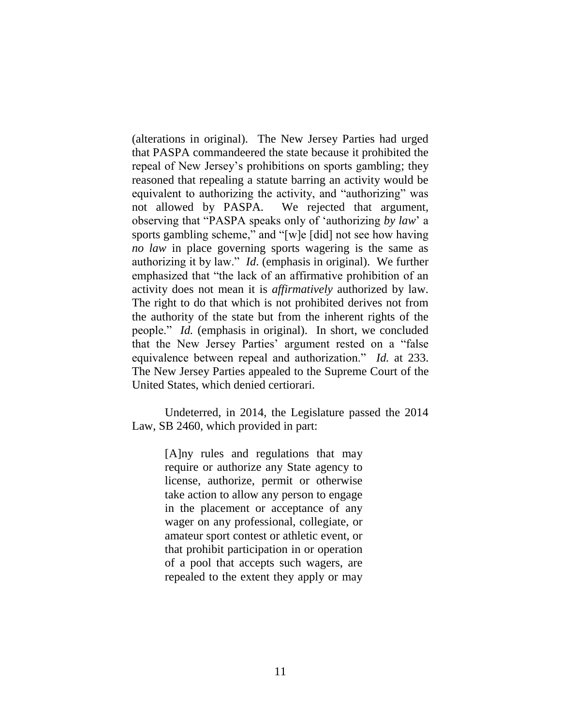(alterations in original). The New Jersey Parties had urged that PASPA commandeered the state because it prohibited the repeal of New Jersey's prohibitions on sports gambling; they reasoned that repealing a statute barring an activity would be equivalent to authorizing the activity, and "authorizing" was not allowed by PASPA. We rejected that argument, observing that "PASPA speaks only of 'authorizing *by law*' a sports gambling scheme," and "[w]e [did] not see how having *no law* in place governing sports wagering is the same as authorizing it by law." *Id*. (emphasis in original). We further emphasized that "the lack of an affirmative prohibition of an activity does not mean it is *affirmatively* authorized by law. The right to do that which is not prohibited derives not from the authority of the state but from the inherent rights of the people." *Id.* (emphasis in original). In short, we concluded that the New Jersey Parties' argument rested on a "false equivalence between repeal and authorization." *Id.* at 233. The New Jersey Parties appealed to the Supreme Court of the United States, which denied certiorari.

Undeterred, in 2014, the Legislature passed the 2014 Law, SB 2460, which provided in part:

> [A]ny rules and regulations that may require or authorize any State agency to license, authorize, permit or otherwise take action to allow any person to engage in the placement or acceptance of any wager on any professional, collegiate, or amateur sport contest or athletic event, or that prohibit participation in or operation of a pool that accepts such wagers, are repealed to the extent they apply or may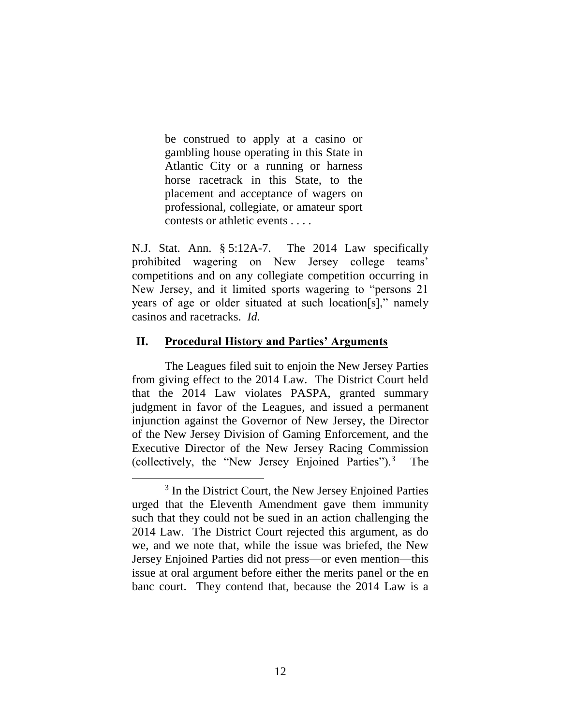be construed to apply at a casino or gambling house operating in this State in Atlantic City or a running or harness horse racetrack in this State, to the placement and acceptance of wagers on professional, collegiate, or amateur sport contests or athletic events . . . .

N.J. Stat. Ann. § 5:12A-7. The 2014 Law specifically prohibited wagering on New Jersey college teams' competitions and on any collegiate competition occurring in New Jersey, and it limited sports wagering to "persons 21 years of age or older situated at such location[s]," namely casinos and racetracks. *Id.*

## **II. Procedural History and Parties' Arguments**

 $\overline{a}$ 

The Leagues filed suit to enjoin the New Jersey Parties from giving effect to the 2014 Law. The District Court held that the 2014 Law violates PASPA, granted summary judgment in favor of the Leagues, and issued a permanent injunction against the Governor of New Jersey, the Director of the New Jersey Division of Gaming Enforcement, and the Executive Director of the New Jersey Racing Commission (collectively, the "New Jersey Enjoined Parties").<sup>3</sup> The

<sup>&</sup>lt;sup>3</sup> In the District Court, the New Jersey Enjoined Parties urged that the Eleventh Amendment gave them immunity such that they could not be sued in an action challenging the 2014 Law. The District Court rejected this argument, as do we, and we note that, while the issue was briefed, the New Jersey Enjoined Parties did not press—or even mention—this issue at oral argument before either the merits panel or the en banc court. They contend that, because the 2014 Law is a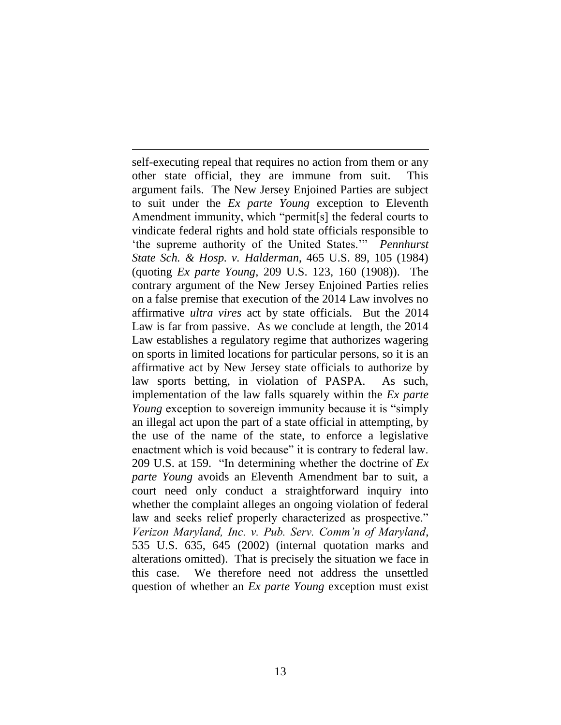self-executing repeal that requires no action from them or any other state official, they are immune from suit. This argument fails. The New Jersey Enjoined Parties are subject to suit under the *Ex parte Young* exception to Eleventh Amendment immunity, which "permit[s] the federal courts to vindicate federal rights and hold state officials responsible to 'the supreme authority of the United States.'" *Pennhurst State Sch. & Hosp. v. Halderman*, 465 U.S. 89, 105 (1984) (quoting *Ex parte Young*, 209 U.S. 123, 160 (1908)). The contrary argument of the New Jersey Enjoined Parties relies on a false premise that execution of the 2014 Law involves no affirmative *ultra vires* act by state officials. But the 2014 Law is far from passive. As we conclude at length, the 2014 Law establishes a regulatory regime that authorizes wagering on sports in limited locations for particular persons, so it is an affirmative act by New Jersey state officials to authorize by law sports betting, in violation of PASPA. As such, implementation of the law falls squarely within the *Ex parte Young* exception to sovereign immunity because it is "simply an illegal act upon the part of a state official in attempting, by the use of the name of the state, to enforce a legislative enactment which is void because" it is contrary to federal law. 209 U.S. at 159. "In determining whether the doctrine of *Ex parte Young* avoids an Eleventh Amendment bar to suit, a court need only conduct a straightforward inquiry into whether the complaint alleges an ongoing violation of federal law and seeks relief properly characterized as prospective." *Verizon Maryland, Inc. v. Pub. Serv. Comm'n of Maryland*, 535 U.S. 635, 645 (2002) (internal quotation marks and alterations omitted). That is precisely the situation we face in this case. We therefore need not address the unsettled question of whether an *Ex parte Young* exception must exist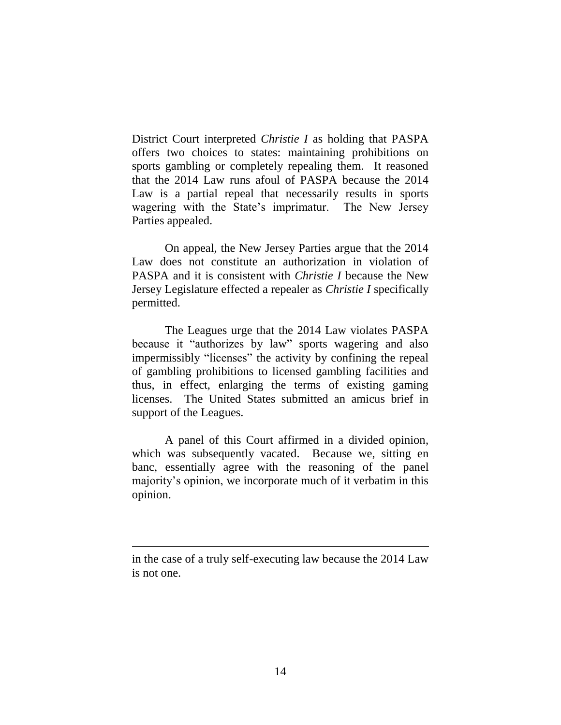District Court interpreted *Christie I* as holding that PASPA offers two choices to states: maintaining prohibitions on sports gambling or completely repealing them. It reasoned that the 2014 Law runs afoul of PASPA because the 2014 Law is a partial repeal that necessarily results in sports wagering with the State's imprimatur. The New Jersey Parties appealed.

On appeal, the New Jersey Parties argue that the 2014 Law does not constitute an authorization in violation of PASPA and it is consistent with *Christie I* because the New Jersey Legislature effected a repealer as *Christie I* specifically permitted.

The Leagues urge that the 2014 Law violates PASPA because it "authorizes by law" sports wagering and also impermissibly "licenses" the activity by confining the repeal of gambling prohibitions to licensed gambling facilities and thus, in effect, enlarging the terms of existing gaming licenses. The United States submitted an amicus brief in support of the Leagues.

A panel of this Court affirmed in a divided opinion, which was subsequently vacated. Because we, sitting en banc, essentially agree with the reasoning of the panel majority's opinion, we incorporate much of it verbatim in this opinion.

in the case of a truly self-executing law because the 2014 Law is not one.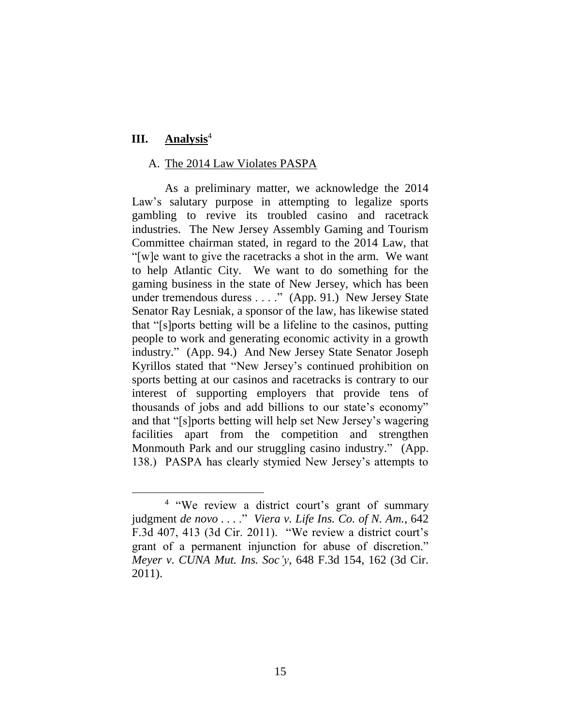# **III. Analysis**<sup>4</sup>

 $\overline{a}$ 

### A. The 2014 Law Violates PASPA

As a preliminary matter, we acknowledge the 2014 Law's salutary purpose in attempting to legalize sports gambling to revive its troubled casino and racetrack industries. The New Jersey Assembly Gaming and Tourism Committee chairman stated, in regard to the 2014 Law, that "[w]e want to give the racetracks a shot in the arm. We want to help Atlantic City. We want to do something for the gaming business in the state of New Jersey, which has been under tremendous duress . . . ." (App. 91.) New Jersey State Senator Ray Lesniak, a sponsor of the law, has likewise stated that "[s]ports betting will be a lifeline to the casinos, putting people to work and generating economic activity in a growth industry." (App. 94.) And New Jersey State Senator Joseph Kyrillos stated that "New Jersey's continued prohibition on sports betting at our casinos and racetracks is contrary to our interest of supporting employers that provide tens of thousands of jobs and add billions to our state's economy" and that "[s]ports betting will help set New Jersey's wagering facilities apart from the competition and strengthen Monmouth Park and our struggling casino industry." (App. 138.) PASPA has clearly stymied New Jersey's attempts to

<sup>&</sup>lt;sup>4</sup> "We review a district court's grant of summary judgment *de novo* . . . ." *Viera v. Life Ins. Co. of N. Am.*, 642 F.3d 407, 413 (3d Cir. 2011). "We review a district court's grant of a permanent injunction for abuse of discretion." *Meyer v. CUNA Mut. Ins. Soc'y*, 648 F.3d 154, 162 (3d Cir. 2011).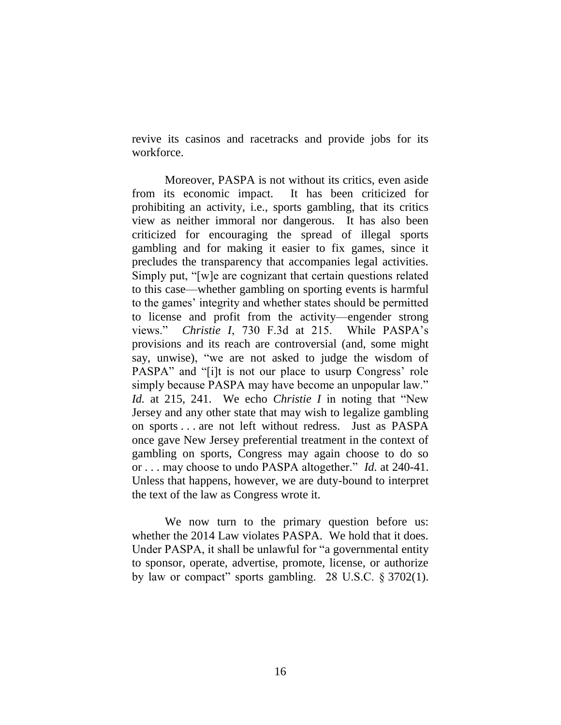revive its casinos and racetracks and provide jobs for its workforce.

Moreover, PASPA is not without its critics, even aside from its economic impact. It has been criticized for prohibiting an activity, i.e., sports gambling, that its critics view as neither immoral nor dangerous. It has also been criticized for encouraging the spread of illegal sports gambling and for making it easier to fix games, since it precludes the transparency that accompanies legal activities. Simply put, "[w]e are cognizant that certain questions related to this case—whether gambling on sporting events is harmful to the games' integrity and whether states should be permitted to license and profit from the activity—engender strong views." *Christie I*, 730 F.3d at 215. While PASPA's provisions and its reach are controversial (and, some might say, unwise), "we are not asked to judge the wisdom of PASPA" and "[i]t is not our place to usurp Congress' role simply because PASPA may have become an unpopular law." *Id.* at 215, 241. We echo *Christie I* in noting that "New Jersey and any other state that may wish to legalize gambling on sports . . . are not left without redress. Just as PASPA once gave New Jersey preferential treatment in the context of gambling on sports, Congress may again choose to do so or . . . may choose to undo PASPA altogether." *Id.* at 240-41. Unless that happens, however, we are duty-bound to interpret the text of the law as Congress wrote it.

We now turn to the primary question before us: whether the 2014 Law violates PASPA. We hold that it does. Under PASPA, it shall be unlawful for "a governmental entity to sponsor, operate, advertise, promote, license, or authorize by law or compact" sports gambling. 28 U.S.C. § 3702(1).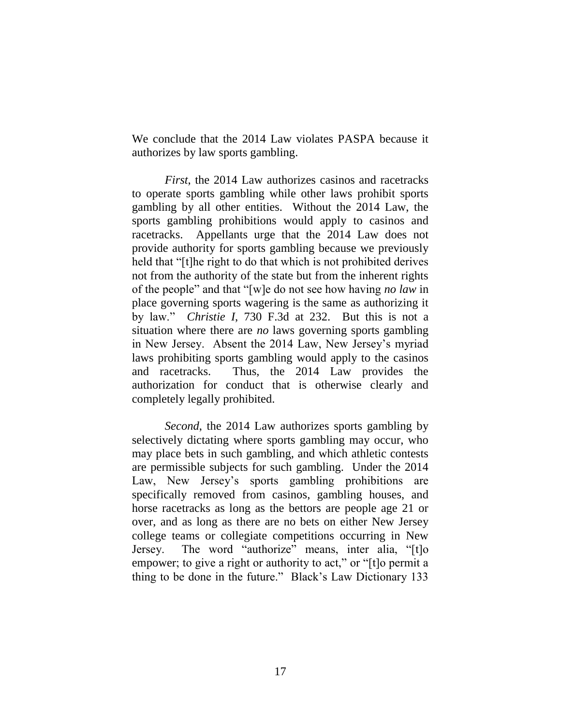We conclude that the 2014 Law violates PASPA because it authorizes by law sports gambling.

*First*, the 2014 Law authorizes casinos and racetracks to operate sports gambling while other laws prohibit sports gambling by all other entities. Without the 2014 Law, the sports gambling prohibitions would apply to casinos and racetracks. Appellants urge that the 2014 Law does not provide authority for sports gambling because we previously held that "[t]he right to do that which is not prohibited derives not from the authority of the state but from the inherent rights of the people" and that "[w]e do not see how having *no law* in place governing sports wagering is the same as authorizing it by law." *Christie I*, 730 F.3d at 232. But this is not a situation where there are *no* laws governing sports gambling in New Jersey. Absent the 2014 Law, New Jersey's myriad laws prohibiting sports gambling would apply to the casinos and racetracks. Thus, the 2014 Law provides the authorization for conduct that is otherwise clearly and completely legally prohibited.

*Second*, the 2014 Law authorizes sports gambling by selectively dictating where sports gambling may occur, who may place bets in such gambling, and which athletic contests are permissible subjects for such gambling. Under the 2014 Law, New Jersey's sports gambling prohibitions are specifically removed from casinos, gambling houses, and horse racetracks as long as the bettors are people age 21 or over, and as long as there are no bets on either New Jersey college teams or collegiate competitions occurring in New Jersey. The word "authorize" means, inter alia, "[t]o empower; to give a right or authority to act," or "[t]o permit a thing to be done in the future." Black's Law Dictionary 133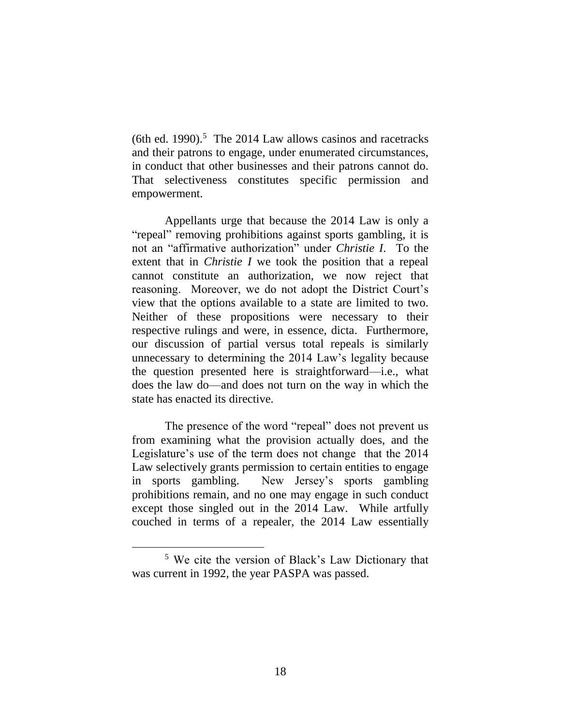$(6th$  ed. 1990).<sup>5</sup> The 2014 Law allows casinos and racetracks and their patrons to engage, under enumerated circumstances, in conduct that other businesses and their patrons cannot do. That selectiveness constitutes specific permission and empowerment.

Appellants urge that because the 2014 Law is only a "repeal" removing prohibitions against sports gambling, it is not an "affirmative authorization" under *Christie I*. To the extent that in *Christie I* we took the position that a repeal cannot constitute an authorization, we now reject that reasoning. Moreover, we do not adopt the District Court's view that the options available to a state are limited to two. Neither of these propositions were necessary to their respective rulings and were, in essence, dicta. Furthermore, our discussion of partial versus total repeals is similarly unnecessary to determining the 2014 Law's legality because the question presented here is straightforward—i.e., what does the law do—and does not turn on the way in which the state has enacted its directive.

The presence of the word "repeal" does not prevent us from examining what the provision actually does, and the Legislature's use of the term does not change that the 2014 Law selectively grants permission to certain entities to engage in sports gambling. New Jersey's sports gambling prohibitions remain, and no one may engage in such conduct except those singled out in the 2014 Law. While artfully couched in terms of a repealer, the 2014 Law essentially

<sup>5</sup> We cite the version of Black's Law Dictionary that was current in 1992, the year PASPA was passed.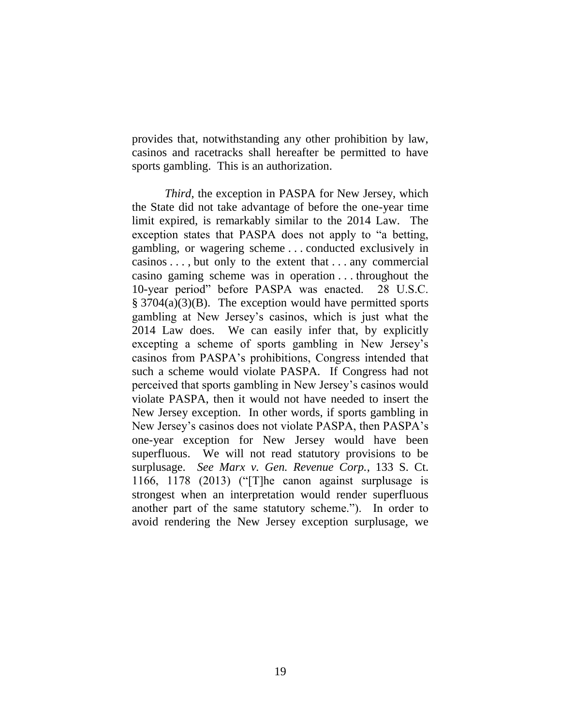provides that, notwithstanding any other prohibition by law, casinos and racetracks shall hereafter be permitted to have sports gambling. This is an authorization.

*Third*, the exception in PASPA for New Jersey, which the State did not take advantage of before the one-year time limit expired, is remarkably similar to the 2014 Law. The exception states that PASPA does not apply to "a betting, gambling, or wagering scheme . . . conducted exclusively in casinos . . . , but only to the extent that . . . any commercial casino gaming scheme was in operation . . . throughout the 10-year period" before PASPA was enacted. 28 U.S.C. § 3704(a)(3)(B). The exception would have permitted sports gambling at New Jersey's casinos, which is just what the 2014 Law does. We can easily infer that, by explicitly excepting a scheme of sports gambling in New Jersey's casinos from PASPA's prohibitions, Congress intended that such a scheme would violate PASPA. If Congress had not perceived that sports gambling in New Jersey's casinos would violate PASPA, then it would not have needed to insert the New Jersey exception. In other words, if sports gambling in New Jersey's casinos does not violate PASPA, then PASPA's one-year exception for New Jersey would have been superfluous. We will not read statutory provisions to be surplusage. *See Marx v. Gen. Revenue Corp.*, 133 S. Ct. 1166, 1178 (2013) ("[T]he canon against surplusage is strongest when an interpretation would render superfluous another part of the same statutory scheme."). In order to avoid rendering the New Jersey exception surplusage, we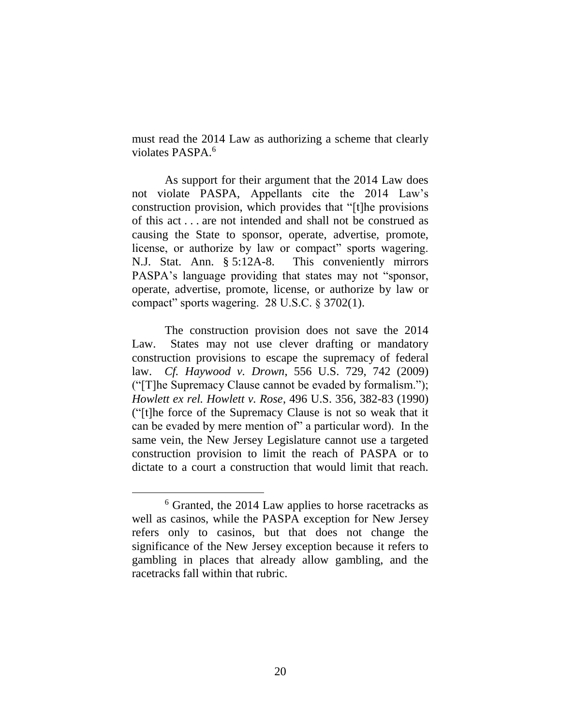must read the 2014 Law as authorizing a scheme that clearly violates PASPA.<sup>6</sup>

As support for their argument that the 2014 Law does not violate PASPA, Appellants cite the 2014 Law's construction provision, which provides that "[t]he provisions of this act . . . are not intended and shall not be construed as causing the State to sponsor, operate, advertise, promote, license, or authorize by law or compact" sports wagering. N.J. Stat. Ann. § 5:12A-8. This conveniently mirrors PASPA's language providing that states may not "sponsor, operate, advertise, promote, license, or authorize by law or compact" sports wagering. 28 U.S.C. § 3702(1).

The construction provision does not save the 2014 Law. States may not use clever drafting or mandatory construction provisions to escape the supremacy of federal law. *Cf. Haywood v. Drown*, 556 U.S. 729, 742 (2009) ("[T]he Supremacy Clause cannot be evaded by formalism."); *Howlett ex rel. Howlett v. Rose*, 496 U.S. 356, 382-83 (1990) ("[t]he force of the Supremacy Clause is not so weak that it can be evaded by mere mention of" a particular word). In the same vein, the New Jersey Legislature cannot use a targeted construction provision to limit the reach of PASPA or to dictate to a court a construction that would limit that reach.

<sup>6</sup> Granted, the 2014 Law applies to horse racetracks as well as casinos, while the PASPA exception for New Jersey refers only to casinos, but that does not change the significance of the New Jersey exception because it refers to gambling in places that already allow gambling, and the racetracks fall within that rubric.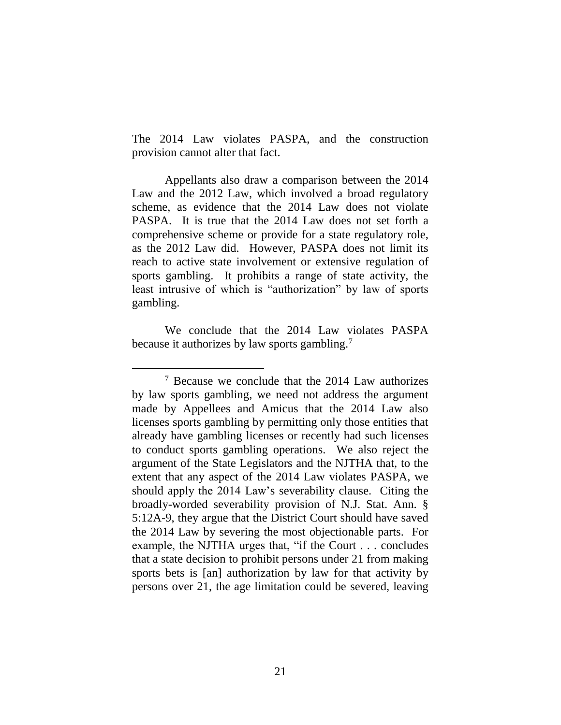The 2014 Law violates PASPA, and the construction provision cannot alter that fact.

Appellants also draw a comparison between the 2014 Law and the 2012 Law, which involved a broad regulatory scheme, as evidence that the 2014 Law does not violate PASPA. It is true that the 2014 Law does not set forth a comprehensive scheme or provide for a state regulatory role, as the 2012 Law did. However, PASPA does not limit its reach to active state involvement or extensive regulation of sports gambling. It prohibits a range of state activity, the least intrusive of which is "authorization" by law of sports gambling.

We conclude that the 2014 Law violates PASPA because it authorizes by law sports gambling.<sup>7</sup>

<sup>7</sup> Because we conclude that the 2014 Law authorizes by law sports gambling, we need not address the argument made by Appellees and Amicus that the 2014 Law also licenses sports gambling by permitting only those entities that already have gambling licenses or recently had such licenses to conduct sports gambling operations. We also reject the argument of the State Legislators and the NJTHA that, to the extent that any aspect of the 2014 Law violates PASPA, we should apply the 2014 Law's severability clause. Citing the broadly-worded severability provision of N.J. Stat. Ann. § 5:12A-9, they argue that the District Court should have saved the 2014 Law by severing the most objectionable parts. For example, the NJTHA urges that, "if the Court . . . concludes that a state decision to prohibit persons under 21 from making sports bets is [an] authorization by law for that activity by persons over 21, the age limitation could be severed, leaving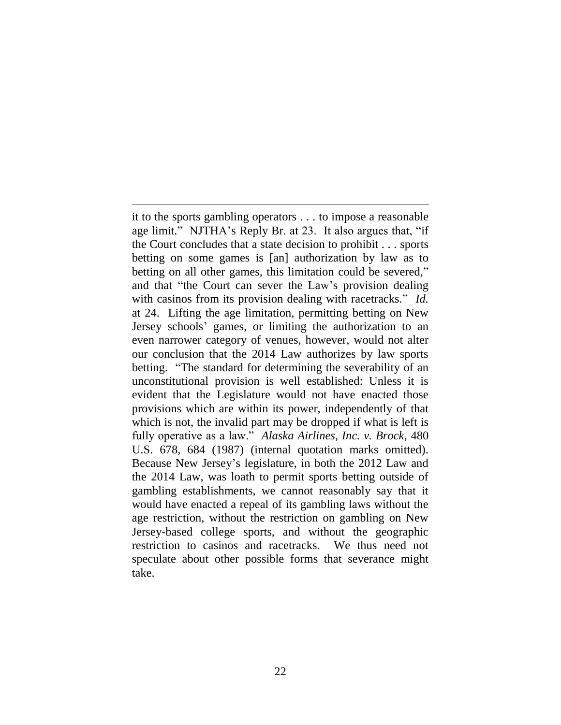it to the sports gambling operators . . . to impose a reasonable age limit." NJTHA's Reply Br. at 23. It also argues that, "if the Court concludes that a state decision to prohibit . . . sports betting on some games is [an] authorization by law as to betting on all other games, this limitation could be severed," and that "the Court can sever the Law's provision dealing with casinos from its provision dealing with racetracks." *Id.* at 24. Lifting the age limitation, permitting betting on New Jersey schools' games, or limiting the authorization to an even narrower category of venues, however, would not alter our conclusion that the 2014 Law authorizes by law sports betting. "The standard for determining the severability of an unconstitutional provision is well established: Unless it is evident that the Legislature would not have enacted those provisions which are within its power, independently of that which is not, the invalid part may be dropped if what is left is fully operative as a law." *Alaska Airlines, Inc. v. Brock*, 480 U.S. 678, 684 (1987) (internal quotation marks omitted). Because New Jersey's legislature, in both the 2012 Law and the 2014 Law, was loath to permit sports betting outside of gambling establishments, we cannot reasonably say that it would have enacted a repeal of its gambling laws without the age restriction, without the restriction on gambling on New Jersey-based college sports, and without the geographic restriction to casinos and racetracks. We thus need not speculate about other possible forms that severance might take.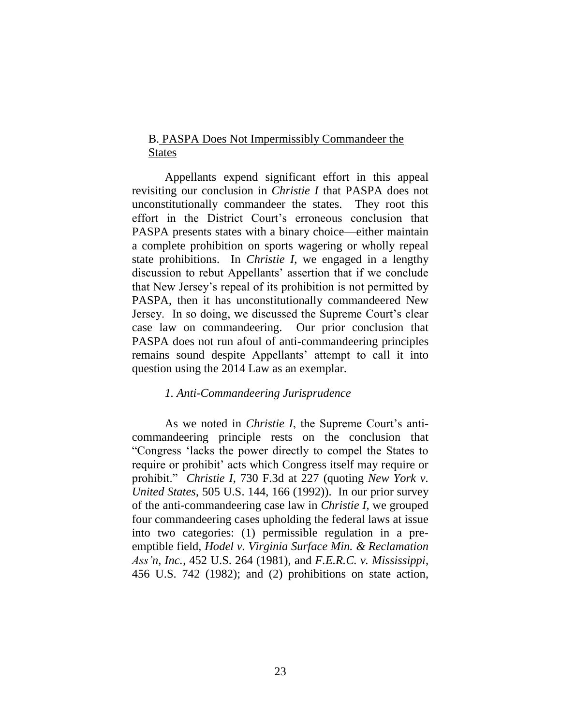## B. PASPA Does Not Impermissibly Commandeer the States

Appellants expend significant effort in this appeal revisiting our conclusion in *Christie I* that PASPA does not unconstitutionally commandeer the states. They root this effort in the District Court's erroneous conclusion that PASPA presents states with a binary choice—either maintain a complete prohibition on sports wagering or wholly repeal state prohibitions. In *Christie I*, we engaged in a lengthy discussion to rebut Appellants' assertion that if we conclude that New Jersey's repeal of its prohibition is not permitted by PASPA, then it has unconstitutionally commandeered New Jersey. In so doing, we discussed the Supreme Court's clear case law on commandeering. Our prior conclusion that PASPA does not run afoul of anti-commandeering principles remains sound despite Appellants' attempt to call it into question using the 2014 Law as an exemplar.

## *1. Anti-Commandeering Jurisprudence*

As we noted in *Christie I*, the Supreme Court's anticommandeering principle rests on the conclusion that "Congress 'lacks the power directly to compel the States to require or prohibit' acts which Congress itself may require or prohibit." *Christie I*, 730 F.3d at 227 (quoting *New York v. United States*, 505 U.S. 144, 166 (1992)). In our prior survey of the anti-commandeering case law in *Christie I*, we grouped four commandeering cases upholding the federal laws at issue into two categories: (1) permissible regulation in a preemptible field, *Hodel v. Virginia Surface Min. & Reclamation Ass'n, Inc.*, 452 U.S. 264 (1981), and *F.E.R.C. v. Mississippi*, 456 U.S. 742 (1982); and (2) prohibitions on state action,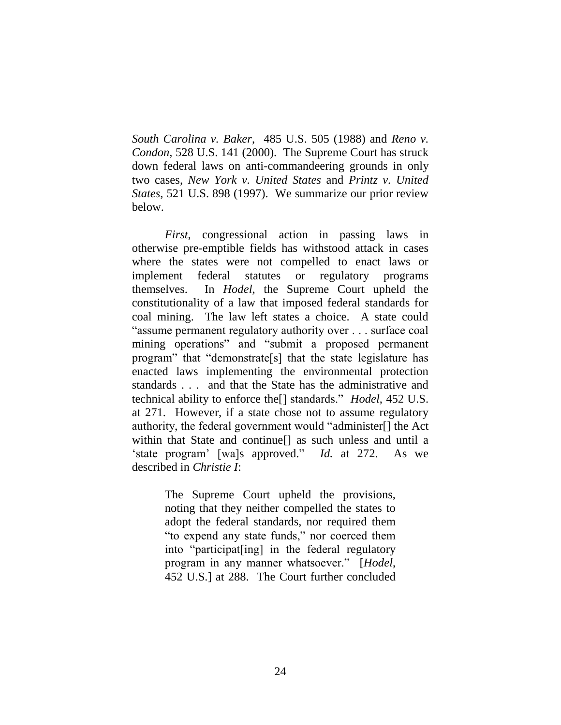*South Carolina v. Baker*, 485 U.S. 505 (1988) and *Reno v. Condon*, 528 U.S. 141 (2000). The Supreme Court has struck down federal laws on anti-commandeering grounds in only two cases, *New York v. United States* and *Printz v. United States*, 521 U.S. 898 (1997). We summarize our prior review below.

*First*, congressional action in passing laws in otherwise pre-emptible fields has withstood attack in cases where the states were not compelled to enact laws or implement federal statutes or regulatory programs themselves. In *Hodel*, the Supreme Court upheld the constitutionality of a law that imposed federal standards for coal mining. The law left states a choice. A state could "assume permanent regulatory authority over . . . surface coal mining operations" and "submit a proposed permanent program" that "demonstrate[s] that the state legislature has enacted laws implementing the environmental protection standards . . . and that the State has the administrative and technical ability to enforce the[] standards." *Hodel*, 452 U.S. at 271. However, if a state chose not to assume regulatory authority, the federal government would "administer[] the Act within that State and continue<sup>[]</sup> as such unless and until a 'state program' [wa]s approved." *Id.* at 272. As we described in *Christie I*:

> The Supreme Court upheld the provisions, noting that they neither compelled the states to adopt the federal standards, nor required them "to expend any state funds," nor coerced them into "participat[ing] in the federal regulatory program in any manner whatsoever." [*Hodel*, 452 U.S.] at 288. The Court further concluded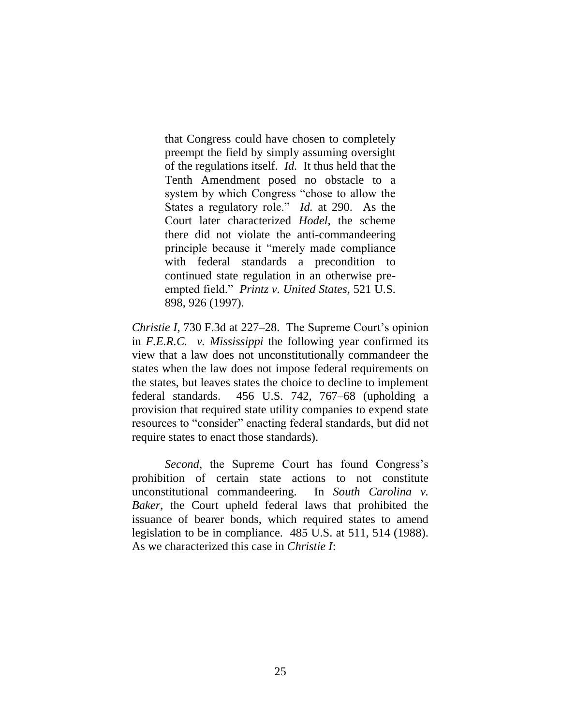that Congress could have chosen to completely preempt the field by simply assuming oversight of the regulations itself. *Id.* It thus held that the Tenth Amendment posed no obstacle to a system by which Congress "chose to allow the States a regulatory role." *Id.* at 290. As the Court later characterized *Hodel,* the scheme there did not violate the anti-commandeering principle because it "merely made compliance with federal standards a precondition to continued state regulation in an otherwise preempted field." *Printz v. United States,* 521 U.S. 898, 926 (1997).

*Christie I*, 730 F.3d at 227–28. The Supreme Court's opinion in *F.E.R.C. v. Mississippi* the following year confirmed its view that a law does not unconstitutionally commandeer the states when the law does not impose federal requirements on the states, but leaves states the choice to decline to implement federal standards. 456 U.S. 742, 767–68 (upholding a provision that required state utility companies to expend state resources to "consider" enacting federal standards, but did not require states to enact those standards).

*Second*, the Supreme Court has found Congress's prohibition of certain state actions to not constitute unconstitutional commandeering. In *South Carolina v. Baker*, the Court upheld federal laws that prohibited the issuance of bearer bonds, which required states to amend legislation to be in compliance. 485 U.S. at 511, 514 (1988). As we characterized this case in *Christie I*: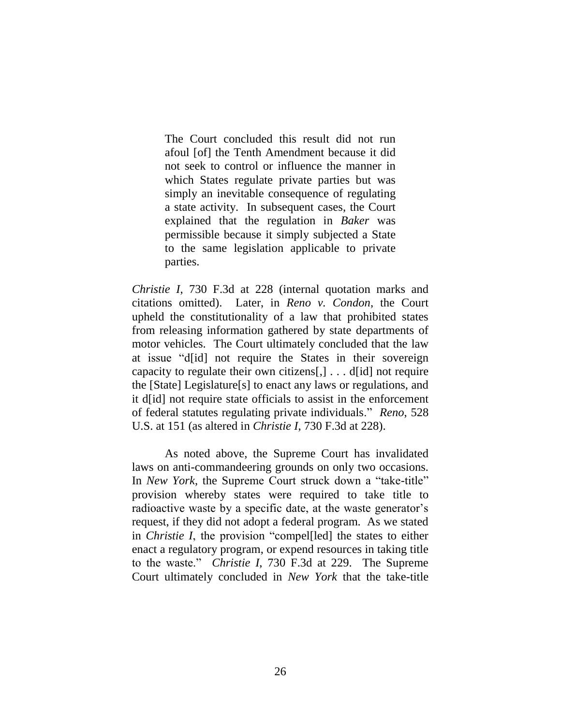The Court concluded this result did not run afoul [of] the Tenth Amendment because it did not seek to control or influence the manner in which States regulate private parties but was simply an inevitable consequence of regulating a state activity. In subsequent cases, the Court explained that the regulation in *Baker* was permissible because it simply subjected a State to the same legislation applicable to private parties.

*Christie I*, 730 F.3d at 228 (internal quotation marks and citations omitted). Later, in *Reno v. Condon*, the Court upheld the constitutionality of a law that prohibited states from releasing information gathered by state departments of motor vehicles. The Court ultimately concluded that the law at issue "d[id] not require the States in their sovereign capacity to regulate their own citizens[,] . . . d[id] not require the [State] Legislature[s] to enact any laws or regulations, and it d[id] not require state officials to assist in the enforcement of federal statutes regulating private individuals." *Reno*, 528 U.S. at 151 (as altered in *Christie I*, 730 F.3d at 228).

As noted above, the Supreme Court has invalidated laws on anti-commandeering grounds on only two occasions. In *New York*, the Supreme Court struck down a "take-title" provision whereby states were required to take title to radioactive waste by a specific date, at the waste generator's request, if they did not adopt a federal program. As we stated in *Christie I*, the provision "compel[led] the states to either enact a regulatory program, or expend resources in taking title to the waste." *Christie I*, 730 F.3d at 229. The Supreme Court ultimately concluded in *New York* that the take-title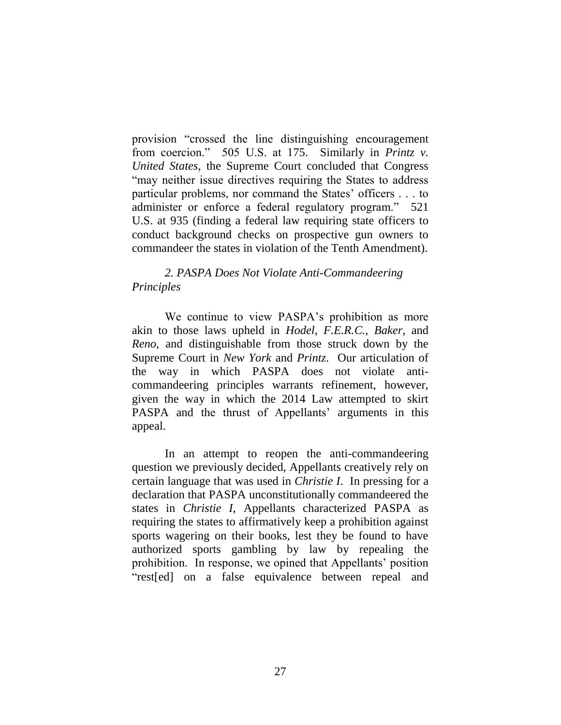provision "crossed the line distinguishing encouragement from coercion." 505 U.S. at 175. Similarly in *Printz v. United States*, the Supreme Court concluded that Congress "may neither issue directives requiring the States to address particular problems, nor command the States' officers . . . to administer or enforce a federal regulatory program." 521 U.S. at 935 (finding a federal law requiring state officers to conduct background checks on prospective gun owners to commandeer the states in violation of the Tenth Amendment).

# *2. PASPA Does Not Violate Anti-Commandeering Principles*

We continue to view PASPA's prohibition as more akin to those laws upheld in *Hodel*, *F.E.R.C.*, *Baker*, and *Reno*, and distinguishable from those struck down by the Supreme Court in *New York* and *Printz*. Our articulation of the way in which PASPA does not violate anticommandeering principles warrants refinement, however, given the way in which the 2014 Law attempted to skirt PASPA and the thrust of Appellants' arguments in this appeal.

In an attempt to reopen the anti-commandeering question we previously decided, Appellants creatively rely on certain language that was used in *Christie I*. In pressing for a declaration that PASPA unconstitutionally commandeered the states in *Christie I*, Appellants characterized PASPA as requiring the states to affirmatively keep a prohibition against sports wagering on their books, lest they be found to have authorized sports gambling by law by repealing the prohibition. In response, we opined that Appellants' position "rest[ed] on a false equivalence between repeal and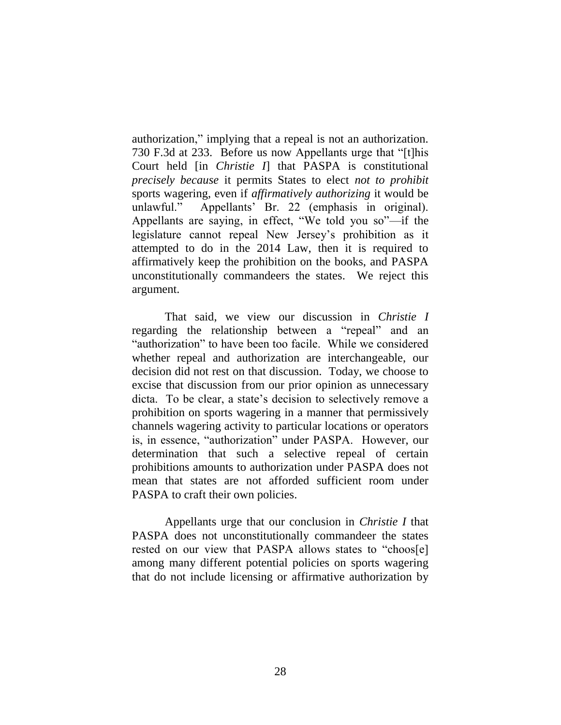authorization," implying that a repeal is not an authorization. 730 F.3d at 233. Before us now Appellants urge that "[t]his Court held [in *Christie I*] that PASPA is constitutional *precisely because* it permits States to elect *not to prohibit* sports wagering, even if *affirmatively authorizing* it would be unlawful." Appellants' Br. 22 (emphasis in original). Appellants are saying, in effect, "We told you so"—if the legislature cannot repeal New Jersey's prohibition as it attempted to do in the 2014 Law, then it is required to affirmatively keep the prohibition on the books, and PASPA unconstitutionally commandeers the states. We reject this argument.

That said, we view our discussion in *Christie I* regarding the relationship between a "repeal" and an "authorization" to have been too facile. While we considered whether repeal and authorization are interchangeable, our decision did not rest on that discussion. Today, we choose to excise that discussion from our prior opinion as unnecessary dicta. To be clear, a state's decision to selectively remove a prohibition on sports wagering in a manner that permissively channels wagering activity to particular locations or operators is, in essence, "authorization" under PASPA. However, our determination that such a selective repeal of certain prohibitions amounts to authorization under PASPA does not mean that states are not afforded sufficient room under PASPA to craft their own policies.

Appellants urge that our conclusion in *Christie I* that PASPA does not unconstitutionally commandeer the states rested on our view that PASPA allows states to "choos[e] among many different potential policies on sports wagering that do not include licensing or affirmative authorization by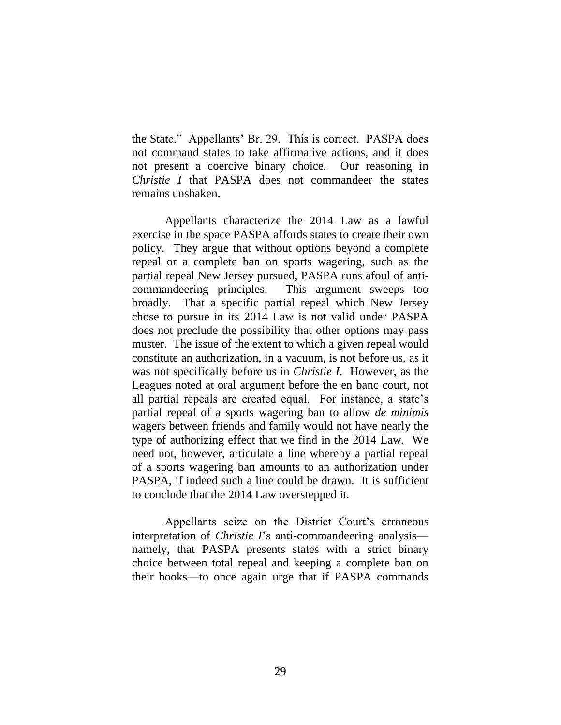the State." Appellants' Br. 29. This is correct. PASPA does not command states to take affirmative actions, and it does not present a coercive binary choice. Our reasoning in *Christie I* that PASPA does not commandeer the states remains unshaken.

Appellants characterize the 2014 Law as a lawful exercise in the space PASPA affords states to create their own policy. They argue that without options beyond a complete repeal or a complete ban on sports wagering, such as the partial repeal New Jersey pursued, PASPA runs afoul of anticommandeering principles. This argument sweeps too broadly. That a specific partial repeal which New Jersey chose to pursue in its 2014 Law is not valid under PASPA does not preclude the possibility that other options may pass muster. The issue of the extent to which a given repeal would constitute an authorization, in a vacuum, is not before us, as it was not specifically before us in *Christie I*. However, as the Leagues noted at oral argument before the en banc court, not all partial repeals are created equal. For instance, a state's partial repeal of a sports wagering ban to allow *de minimis* wagers between friends and family would not have nearly the type of authorizing effect that we find in the 2014 Law. We need not, however, articulate a line whereby a partial repeal of a sports wagering ban amounts to an authorization under PASPA, if indeed such a line could be drawn. It is sufficient to conclude that the 2014 Law overstepped it.

Appellants seize on the District Court's erroneous interpretation of *Christie I*'s anti-commandeering analysis namely, that PASPA presents states with a strict binary choice between total repeal and keeping a complete ban on their books—to once again urge that if PASPA commands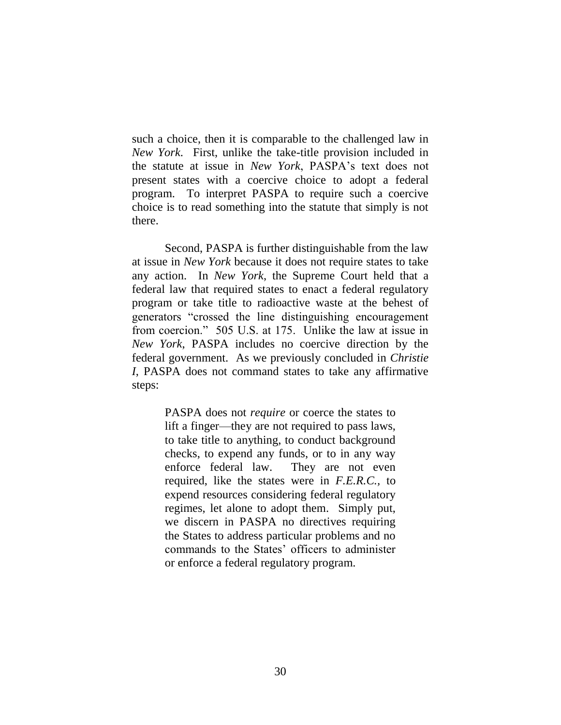such a choice, then it is comparable to the challenged law in *New York*. First, unlike the take-title provision included in the statute at issue in *New York*, PASPA's text does not present states with a coercive choice to adopt a federal program. To interpret PASPA to require such a coercive choice is to read something into the statute that simply is not there.

Second, PASPA is further distinguishable from the law at issue in *New York* because it does not require states to take any action. In *New York*, the Supreme Court held that a federal law that required states to enact a federal regulatory program or take title to radioactive waste at the behest of generators "crossed the line distinguishing encouragement from coercion." 505 U.S. at 175. Unlike the law at issue in *New York*, PASPA includes no coercive direction by the federal government. As we previously concluded in *Christie I*, PASPA does not command states to take any affirmative steps:

> PASPA does not *require* or coerce the states to lift a finger—they are not required to pass laws, to take title to anything, to conduct background checks, to expend any funds, or to in any way enforce federal law. They are not even required, like the states were in *F.E.R.C.,* to expend resources considering federal regulatory regimes, let alone to adopt them. Simply put, we discern in PASPA no directives requiring the States to address particular problems and no commands to the States' officers to administer or enforce a federal regulatory program.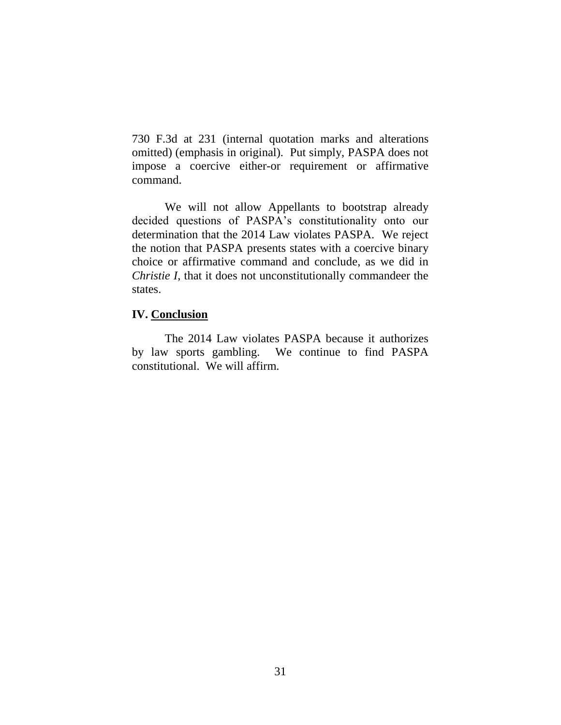730 F.3d at 231 (internal quotation marks and alterations omitted) (emphasis in original). Put simply, PASPA does not impose a coercive either-or requirement or affirmative command.

We will not allow Appellants to bootstrap already decided questions of PASPA's constitutionality onto our determination that the 2014 Law violates PASPA. We reject the notion that PASPA presents states with a coercive binary choice or affirmative command and conclude, as we did in *Christie I*, that it does not unconstitutionally commandeer the states.

## **IV. Conclusion**

The 2014 Law violates PASPA because it authorizes by law sports gambling. We continue to find PASPA constitutional. We will affirm.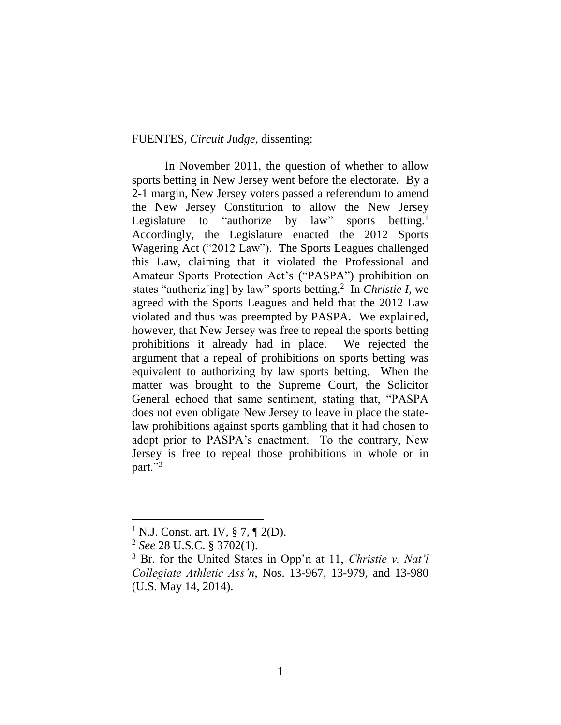### FUENTES, *Circuit Judge*, dissenting:

In November 2011, the question of whether to allow sports betting in New Jersey went before the electorate. By a 2-1 margin, New Jersey voters passed a referendum to amend the New Jersey Constitution to allow the New Jersey Legislature to "authorize by law" sports 1 Accordingly, the Legislature enacted the 2012 Sports Wagering Act ("2012 Law"). The Sports Leagues challenged this Law, claiming that it violated the Professional and Amateur Sports Protection Act's ("PASPA") prohibition on states "authoriz[ing] by law" sports betting. 2 In *Christie I*, we agreed with the Sports Leagues and held that the 2012 Law violated and thus was preempted by PASPA. We explained, however, that New Jersey was free to repeal the sports betting prohibitions it already had in place. We rejected the argument that a repeal of prohibitions on sports betting was equivalent to authorizing by law sports betting. When the matter was brought to the Supreme Court, the Solicitor General echoed that same sentiment, stating that, "PASPA does not even obligate New Jersey to leave in place the statelaw prohibitions against sports gambling that it had chosen to adopt prior to PASPA's enactment. To the contrary, New Jersey is free to repeal those prohibitions in whole or in part."<sup>3</sup>

<sup>&</sup>lt;sup>1</sup> N.J. Const. art. IV,  $\S$  7,  $\P$  2(D).

<sup>2</sup> *See* 28 U.S.C. § 3702(1).

<sup>3</sup> Br. for the United States in Opp'n at 11, *Christie v. Nat'l Collegiate Athletic Ass'n*, Nos. 13-967, 13-979, and 13-980 (U.S. May 14, 2014).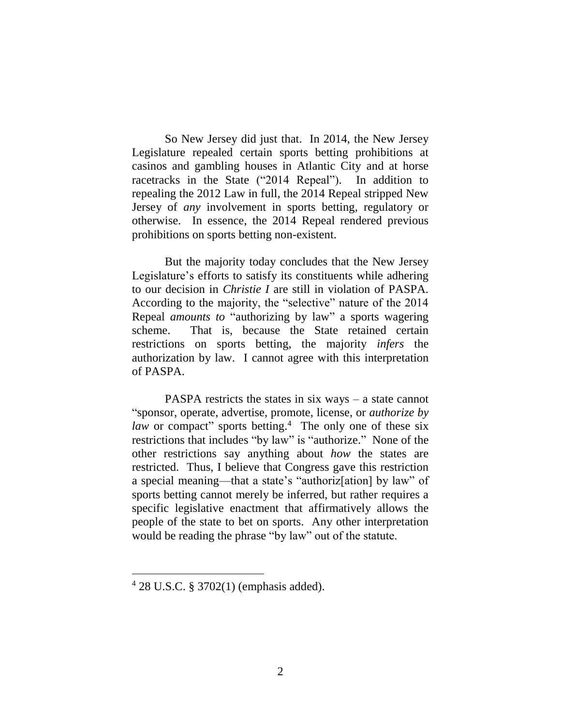So New Jersey did just that. In 2014, the New Jersey Legislature repealed certain sports betting prohibitions at casinos and gambling houses in Atlantic City and at horse racetracks in the State ("2014 Repeal"). In addition to repealing the 2012 Law in full, the 2014 Repeal stripped New Jersey of *any* involvement in sports betting, regulatory or otherwise. In essence, the 2014 Repeal rendered previous prohibitions on sports betting non-existent.

But the majority today concludes that the New Jersey Legislature's efforts to satisfy its constituents while adhering to our decision in *Christie I* are still in violation of PASPA. According to the majority, the "selective" nature of the 2014 Repeal *amounts to* "authorizing by law" a sports wagering scheme. That is, because the State retained certain restrictions on sports betting, the majority *infers* the authorization by law. I cannot agree with this interpretation of PASPA.

PASPA restricts the states in six ways  $-$  a state cannot "sponsor, operate, advertise, promote, license, or *authorize by*  law or compact" sports betting.<sup>4</sup> The only one of these six restrictions that includes "by law" is "authorize." None of the other restrictions say anything about *how* the states are restricted. Thus, I believe that Congress gave this restriction a special meaning—that a state's "authoriz[ation] by law" of sports betting cannot merely be inferred, but rather requires a specific legislative enactment that affirmatively allows the people of the state to bet on sports. Any other interpretation would be reading the phrase "by law" out of the statute.

<sup>4</sup> 28 U.S.C. § 3702(1) (emphasis added).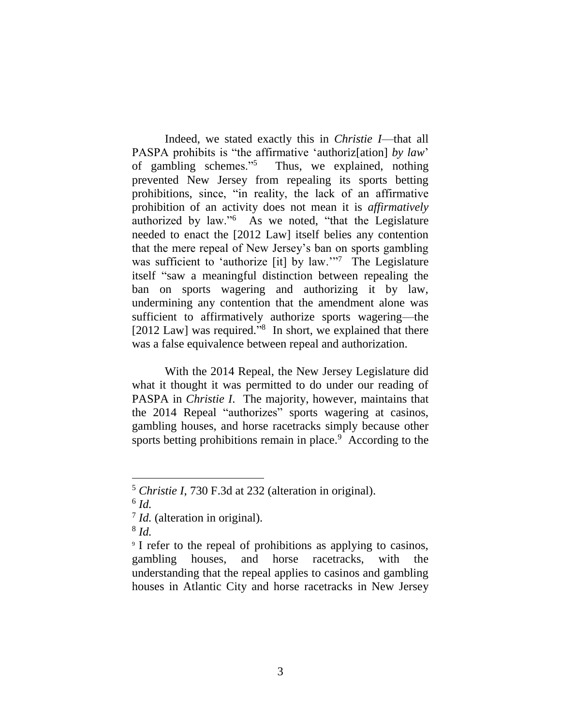Indeed, we stated exactly this in *Christie I*—that all PASPA prohibits is "the affirmative 'authoriz[ation] *by law*' of gambling schemes."<sup>5</sup> Thus, we explained, nothing prevented New Jersey from repealing its sports betting prohibitions, since, "in reality, the lack of an affirmative prohibition of an activity does not mean it is *affirmatively* authorized by law."<sup>6</sup> As we noted, "that the Legislature needed to enact the [2012 Law] itself belies any contention that the mere repeal of New Jersey's ban on sports gambling was sufficient to 'authorize [it] by law."<sup>7</sup> The Legislature itself "saw a meaningful distinction between repealing the ban on sports wagering and authorizing it by law, undermining any contention that the amendment alone was sufficient to affirmatively authorize sports wagering—the [2012 Law] was required."<sup>8</sup> In short, we explained that there was a false equivalence between repeal and authorization.

With the 2014 Repeal, the New Jersey Legislature did what it thought it was permitted to do under our reading of PASPA in *Christie I*. The majority, however, maintains that the 2014 Repeal "authorizes" sports wagering at casinos, gambling houses, and horse racetracks simply because other sports betting prohibitions remain in place.<sup>9</sup> According to the

<sup>5</sup> *Christie I*, 730 F.3d at 232 (alteration in original).

<sup>6</sup> *Id.*

<sup>&</sup>lt;sup>7</sup> *Id.* (alteration in original).

<sup>8</sup> *Id.*

<sup>9</sup> I refer to the repeal of prohibitions as applying to casinos, gambling houses, and horse racetracks, with the understanding that the repeal applies to casinos and gambling houses in Atlantic City and horse racetracks in New Jersey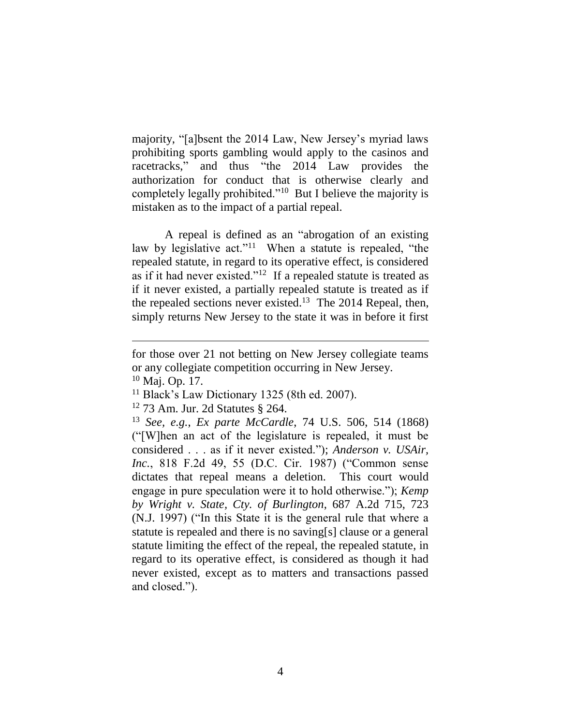majority, "[a]bsent the 2014 Law, New Jersey's myriad laws prohibiting sports gambling would apply to the casinos and racetracks," and thus "the 2014 Law provides the authorization for conduct that is otherwise clearly and completely legally prohibited."<sup>10</sup> But I believe the majority is mistaken as to the impact of a partial repeal.

A repeal is defined as an "abrogation of an existing law by legislative act."<sup>11</sup> When a statute is repealed, "the repealed statute, in regard to its operative effect, is considered as if it had never existed." $12$  If a repealed statute is treated as if it never existed, a partially repealed statute is treated as if the repealed sections never existed.<sup>13</sup> The 2014 Repeal, then, simply returns New Jersey to the state it was in before it first

for those over 21 not betting on New Jersey collegiate teams or any collegiate competition occurring in New Jersey.  $10$  Maj. Op. 17.

<sup>11</sup> Black's Law Dictionary 1325 (8th ed. 2007).

<sup>12</sup> 73 Am. Jur. 2d Statutes § 264.

<sup>13</sup> *See, e.g.*, *Ex parte McCardle*, 74 U.S. 506, 514 (1868) ("[W]hen an act of the legislature is repealed, it must be considered . . . as if it never existed."); *Anderson v. USAir, Inc.*, 818 F.2d 49, 55 (D.C. Cir. 1987) ("Common sense dictates that repeal means a deletion. This court would engage in pure speculation were it to hold otherwise."); *Kemp by Wright v. State, Cty. of Burlington*, 687 A.2d 715, 723 (N.J. 1997) ("In this State it is the general rule that where a statute is repealed and there is no saving[s] clause or a general statute limiting the effect of the repeal, the repealed statute, in regard to its operative effect, is considered as though it had never existed, except as to matters and transactions passed and closed.").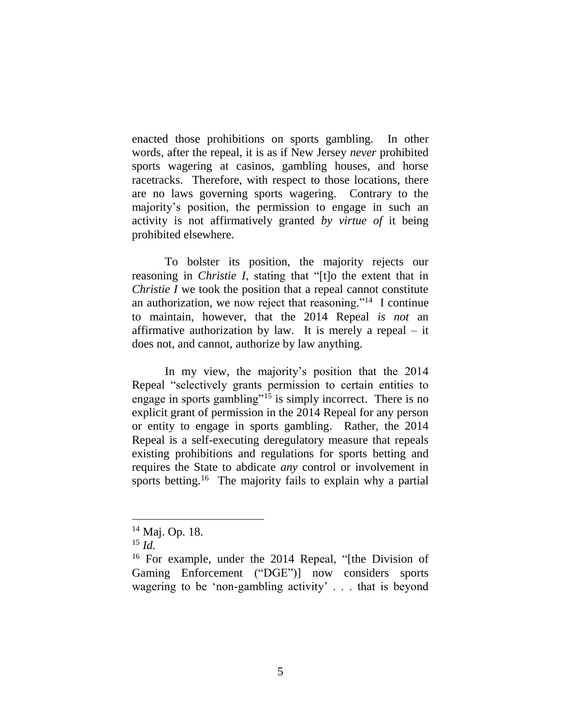enacted those prohibitions on sports gambling. In other words, after the repeal, it is as if New Jersey *never* prohibited sports wagering at casinos, gambling houses, and horse racetracks. Therefore, with respect to those locations, there are no laws governing sports wagering. Contrary to the majority's position, the permission to engage in such an activity is not affirmatively granted *by virtue of* it being prohibited elsewhere.

To bolster its position, the majority rejects our reasoning in *Christie I*, stating that "[t]o the extent that in *Christie I* we took the position that a repeal cannot constitute an authorization, we now reject that reasoning."<sup>14</sup> I continue to maintain, however, that the 2014 Repeal *is not* an affirmative authorization by law. It is merely a repeal – it does not, and cannot, authorize by law anything.

In my view, the majority's position that the 2014 Repeal "selectively grants permission to certain entities to engage in sports gambling"<sup>15</sup> is simply incorrect. There is no explicit grant of permission in the 2014 Repeal for any person or entity to engage in sports gambling. Rather, the 2014 Repeal is a self-executing deregulatory measure that repeals existing prohibitions and regulations for sports betting and requires the State to abdicate *any* control or involvement in sports betting.<sup>16</sup> The majority fails to explain why a partial

<sup>14</sup> Maj. Op. 18.

<sup>15</sup> *Id.*

<sup>16</sup> For example, under the 2014 Repeal, "[the Division of Gaming Enforcement ("DGE")] now considers sports wagering to be 'non-gambling activity' . . . that is beyond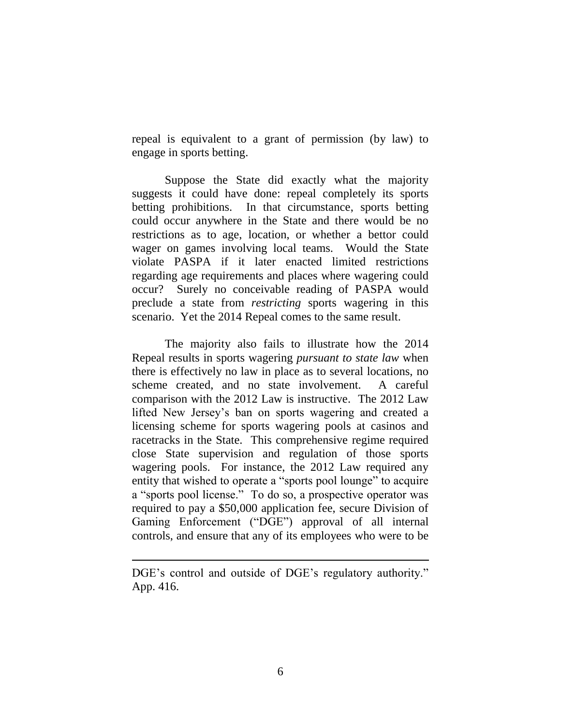repeal is equivalent to a grant of permission (by law) to engage in sports betting.

Suppose the State did exactly what the majority suggests it could have done: repeal completely its sports betting prohibitions. In that circumstance, sports betting could occur anywhere in the State and there would be no restrictions as to age, location, or whether a bettor could wager on games involving local teams. Would the State violate PASPA if it later enacted limited restrictions regarding age requirements and places where wagering could occur? Surely no conceivable reading of PASPA would preclude a state from *restricting* sports wagering in this scenario. Yet the 2014 Repeal comes to the same result.

The majority also fails to illustrate how the 2014 Repeal results in sports wagering *pursuant to state law* when there is effectively no law in place as to several locations, no scheme created, and no state involvement. A careful comparison with the 2012 Law is instructive. The 2012 Law lifted New Jersey's ban on sports wagering and created a licensing scheme for sports wagering pools at casinos and racetracks in the State. This comprehensive regime required close State supervision and regulation of those sports wagering pools. For instance, the 2012 Law required any entity that wished to operate a "sports pool lounge" to acquire a "sports pool license." To do so, a prospective operator was required to pay a \$50,000 application fee, secure Division of Gaming Enforcement ("DGE") approval of all internal controls, and ensure that any of its employees who were to be

DGE's control and outside of DGE's regulatory authority." App. 416.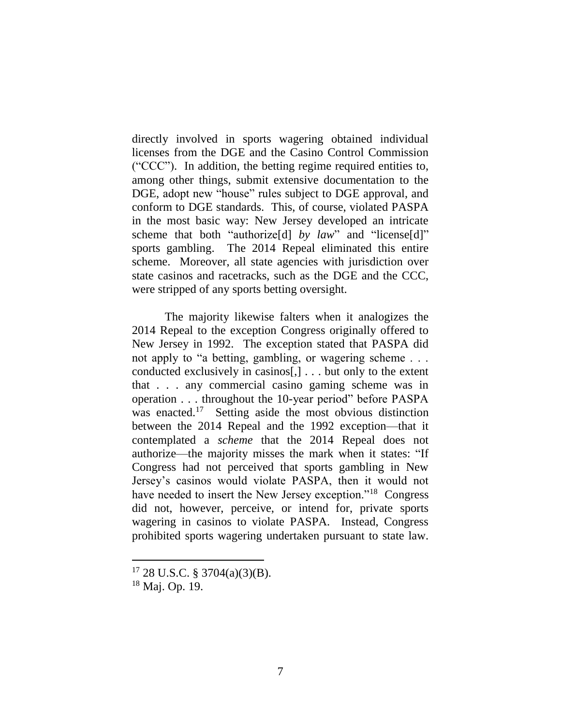directly involved in sports wagering obtained individual licenses from the DGE and the Casino Control Commission ("CCC"). In addition, the betting regime required entities to, among other things, submit extensive documentation to the DGE, adopt new "house" rules subject to DGE approval, and conform to DGE standards. This, of course, violated PASPA in the most basic way: New Jersey developed an intricate scheme that both "authorize<sup>[d]</sup> *by law*" and "license<sup>[d]"</sup> sports gambling. The 2014 Repeal eliminated this entire scheme. Moreover, all state agencies with jurisdiction over state casinos and racetracks, such as the DGE and the CCC, were stripped of any sports betting oversight.

The majority likewise falters when it analogizes the 2014 Repeal to the exception Congress originally offered to New Jersey in 1992. The exception stated that PASPA did not apply to "a betting, gambling, or wagering scheme . . . conducted exclusively in casinos[,] . . . but only to the extent that . . . any commercial casino gaming scheme was in operation . . . throughout the 10-year period" before PASPA was enacted.<sup>17</sup> Setting aside the most obvious distinction between the 2014 Repeal and the 1992 exception—that it contemplated a *scheme* that the 2014 Repeal does not authorize—the majority misses the mark when it states: "If Congress had not perceived that sports gambling in New Jersey's casinos would violate PASPA, then it would not have needed to insert the New Jersey exception."<sup>18</sup> Congress did not, however, perceive, or intend for, private sports wagering in casinos to violate PASPA. Instead, Congress prohibited sports wagering undertaken pursuant to state law.

 $17$  28 U.S.C. § 3704(a)(3)(B).

<sup>18</sup> Maj. Op. 19.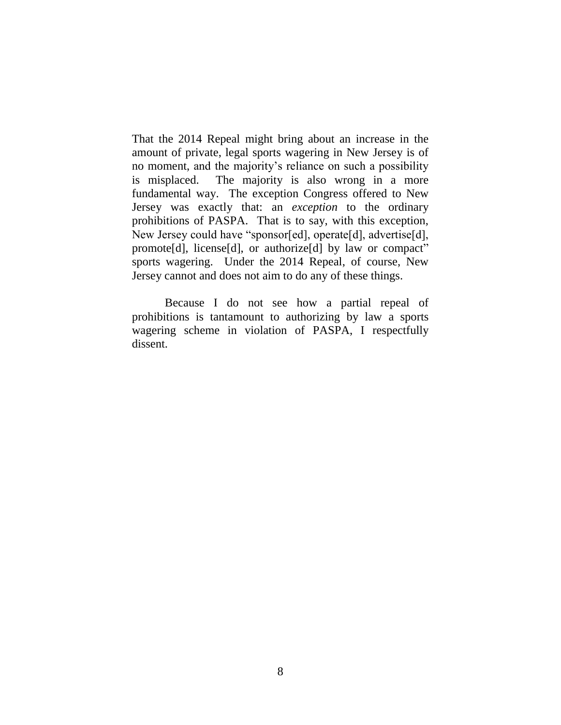That the 2014 Repeal might bring about an increase in the amount of private, legal sports wagering in New Jersey is of no moment, and the majority's reliance on such a possibility is misplaced. The majority is also wrong in a more fundamental way. The exception Congress offered to New Jersey was exactly that: an *exception* to the ordinary prohibitions of PASPA. That is to say, with this exception, New Jersey could have "sponsor[ed], operate[d], advertise[d], promote[d], license[d], or authorize[d] by law or compact" sports wagering. Under the 2014 Repeal, of course, New Jersey cannot and does not aim to do any of these things.

Because I do not see how a partial repeal of prohibitions is tantamount to authorizing by law a sports wagering scheme in violation of PASPA, I respectfully dissent.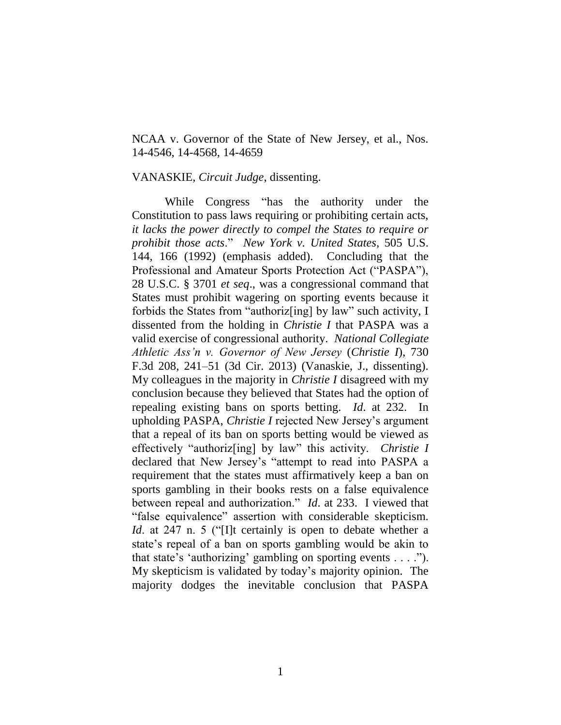NCAA v. Governor of the State of New Jersey, et al., Nos. 14-4546, 14-4568, 14-4659

### VANASKIE, *Circuit Judge*, dissenting.

While Congress "has the authority under the Constitution to pass laws requiring or prohibiting certain acts, *it lacks the power directly to compel the States to require or prohibit those acts*." *New York v. United States*, 505 U.S. 144, 166 (1992) (emphasis added). Concluding that the Professional and Amateur Sports Protection Act ("PASPA"), 28 U.S.C. § 3701 *et seq*., was a congressional command that States must prohibit wagering on sporting events because it forbids the States from "authoriz[ing] by law" such activity, I dissented from the holding in *Christie I* that PASPA was a valid exercise of congressional authority. *National Collegiate Athletic Ass'n v. Governor of New Jersey* (*Christie I*), 730 F.3d 208, 241–51 (3d Cir. 2013) (Vanaskie, J., dissenting). My colleagues in the majority in *Christie I* disagreed with my conclusion because they believed that States had the option of repealing existing bans on sports betting. *Id*. at 232. In upholding PASPA, *Christie I* rejected New Jersey's argument that a repeal of its ban on sports betting would be viewed as effectively "authoriz[ing] by law" this activity. *Christie I* declared that New Jersey's "attempt to read into PASPA a requirement that the states must affirmatively keep a ban on sports gambling in their books rests on a false equivalence between repeal and authorization." *Id*. at 233. I viewed that "false equivalence" assertion with considerable skepticism. *Id.* at 247 n. 5 ("II certainly is open to debate whether a state's repeal of a ban on sports gambling would be akin to that state's 'authorizing' gambling on sporting events . . . ."). My skepticism is validated by today's majority opinion. The majority dodges the inevitable conclusion that PASPA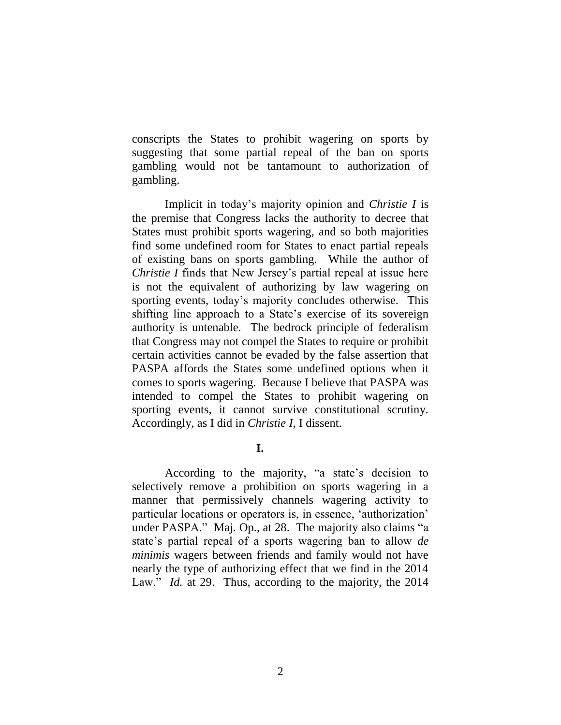conscripts the States to prohibit wagering on sports by suggesting that some partial repeal of the ban on sports gambling would not be tantamount to authorization of gambling.

Implicit in today's majority opinion and *Christie I* is the premise that Congress lacks the authority to decree that States must prohibit sports wagering, and so both majorities find some undefined room for States to enact partial repeals of existing bans on sports gambling. While the author of *Christie I* finds that New Jersey's partial repeal at issue here is not the equivalent of authorizing by law wagering on sporting events, today's majority concludes otherwise. This shifting line approach to a State's exercise of its sovereign authority is untenable. The bedrock principle of federalism that Congress may not compel the States to require or prohibit certain activities cannot be evaded by the false assertion that PASPA affords the States some undefined options when it comes to sports wagering. Because I believe that PASPA was intended to compel the States to prohibit wagering on sporting events, it cannot survive constitutional scrutiny. Accordingly, as I did in *Christie I*, I dissent.

**I.**

According to the majority, "a state's decision to selectively remove a prohibition on sports wagering in a manner that permissively channels wagering activity to particular locations or operators is, in essence, 'authorization' under PASPA." Maj. Op., at 28. The majority also claims "a state's partial repeal of a sports wagering ban to allow *de minimis* wagers between friends and family would not have nearly the type of authorizing effect that we find in the 2014 Law." *Id.* at 29. Thus, according to the majority, the 2014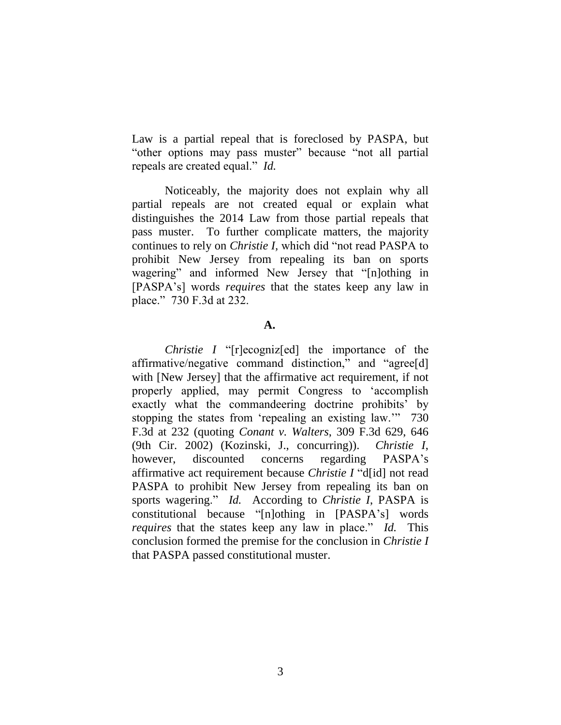Law is a partial repeal that is foreclosed by PASPA, but "other options may pass muster" because "not all partial repeals are created equal." *Id.* 

Noticeably, the majority does not explain why all partial repeals are not created equal or explain what distinguishes the 2014 Law from those partial repeals that pass muster. To further complicate matters, the majority continues to rely on *Christie I,* which did "not read PASPA to prohibit New Jersey from repealing its ban on sports wagering" and informed New Jersey that "[n]othing in [PASPA's] words *requires* that the states keep any law in place." 730 F.3d at 232.

### **A.**

*Christie I* "[r]ecogniz[ed] the importance of the affirmative/negative command distinction," and "agree[d] with [New Jersey] that the affirmative act requirement, if not properly applied, may permit Congress to 'accomplish exactly what the commandeering doctrine prohibits' by stopping the states from 'repealing an existing law.'" 730 F.3d at 232 (quoting *Conant v. Walters*, 309 F.3d 629, 646 (9th Cir. 2002) (Kozinski, J., concurring)). *Christie I*, however, discounted concerns regarding PASPA's affirmative act requirement because *Christie I* "d[id] not read PASPA to prohibit New Jersey from repealing its ban on sports wagering." *Id.* According to *Christie I*, PASPA is constitutional because "[n]othing in [PASPA's] words *requires* that the states keep any law in place." *Id.* This conclusion formed the premise for the conclusion in *Christie I* that PASPA passed constitutional muster.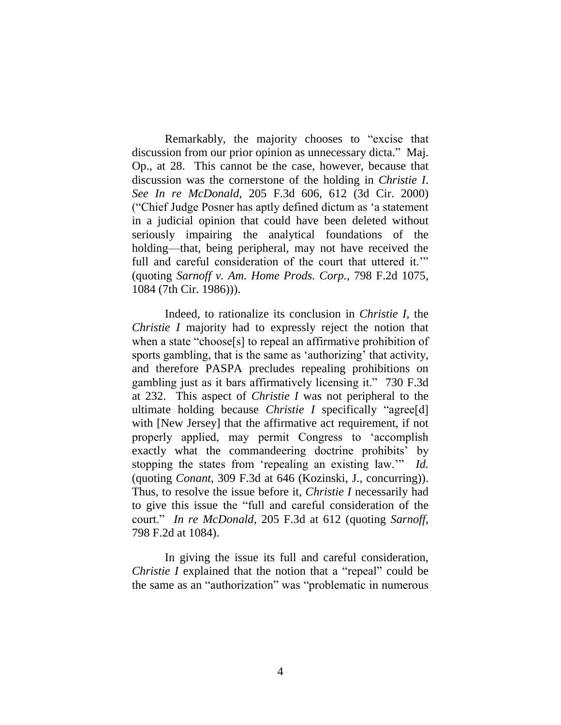Remarkably, the majority chooses to "excise that discussion from our prior opinion as unnecessary dicta."Maj. Op., at 28. This cannot be the case, however, because that discussion was the cornerstone of the holding in *Christie I*. *See In re McDonald*, 205 F.3d 606, 612 (3d Cir. 2000) ("Chief Judge Posner has aptly defined dictum as 'a statement in a judicial opinion that could have been deleted without seriously impairing the analytical foundations of the holding—that, being peripheral, may not have received the full and careful consideration of the court that uttered it." (quoting *Sarnoff v. Am. Home Prods. Corp.,* 798 F.2d 1075, 1084 (7th Cir. 1986))).

Indeed, to rationalize its conclusion in *Christie I*, the *Christie I* majority had to expressly reject the notion that when a state "choose[s] to repeal an affirmative prohibition of sports gambling, that is the same as 'authorizing' that activity, and therefore PASPA precludes repealing prohibitions on gambling just as it bars affirmatively licensing it." 730 F.3d at 232. This aspect of *Christie I* was not peripheral to the ultimate holding because *Christie I* specifically "agree[d] with [New Jersey] that the affirmative act requirement, if not properly applied, may permit Congress to 'accomplish exactly what the commandeering doctrine prohibits' by stopping the states from 'repealing an existing law.'" *Id.*  (quoting *Conant*, 309 F.3d at 646 (Kozinski, J., concurring)). Thus, to resolve the issue before it, *Christie I* necessarily had to give this issue the "full and careful consideration of the court." *In re McDonald*, 205 F.3d at 612 (quoting *Sarnoff*, 798 F.2d at 1084).

In giving the issue its full and careful consideration, *Christie I* explained that the notion that a "repeal" could be the same as an "authorization" was "problematic in numerous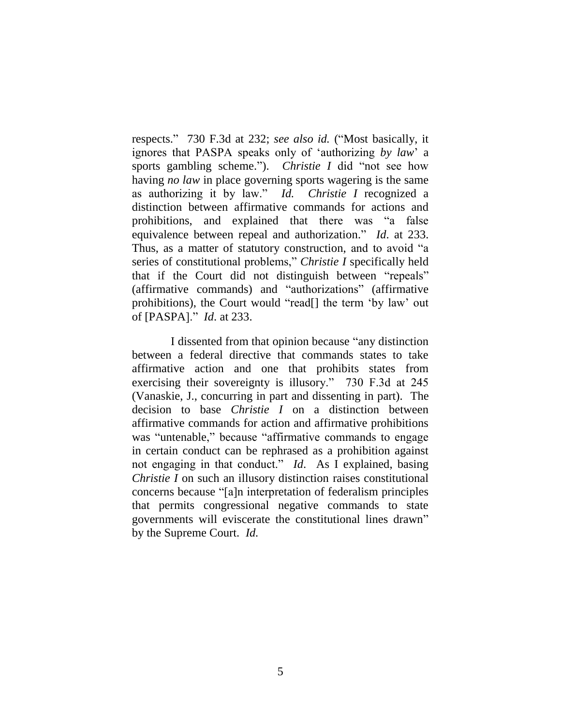respects." 730 F.3d at 232; *see also id.* ("Most basically, it ignores that PASPA speaks only of 'authorizing *by law*' a sports gambling scheme."). *Christie I* did "not see how having *no law* in place governing sports wagering is the same as authorizing it by law." *Id. Christie I* recognized a distinction between affirmative commands for actions and prohibitions, and explained that there was "a false equivalence between repeal and authorization." *Id*. at 233. Thus, as a matter of statutory construction, and to avoid "a series of constitutional problems," *Christie I* specifically held that if the Court did not distinguish between "repeals" (affirmative commands) and "authorizations" (affirmative prohibitions), the Court would "read[] the term 'by law' out of [PASPA]." *Id*. at 233.

I dissented from that opinion because "any distinction between a federal directive that commands states to take affirmative action and one that prohibits states from exercising their sovereignty is illusory." 730 F.3d at 245 (Vanaskie, J., concurring in part and dissenting in part). The decision to base *Christie I* on a distinction between affirmative commands for action and affirmative prohibitions was "untenable," because "affirmative commands to engage in certain conduct can be rephrased as a prohibition against not engaging in that conduct." *Id*. As I explained, basing *Christie I* on such an illusory distinction raises constitutional concerns because "[a]n interpretation of federalism principles that permits congressional negative commands to state governments will eviscerate the constitutional lines drawn" by the Supreme Court. *Id.*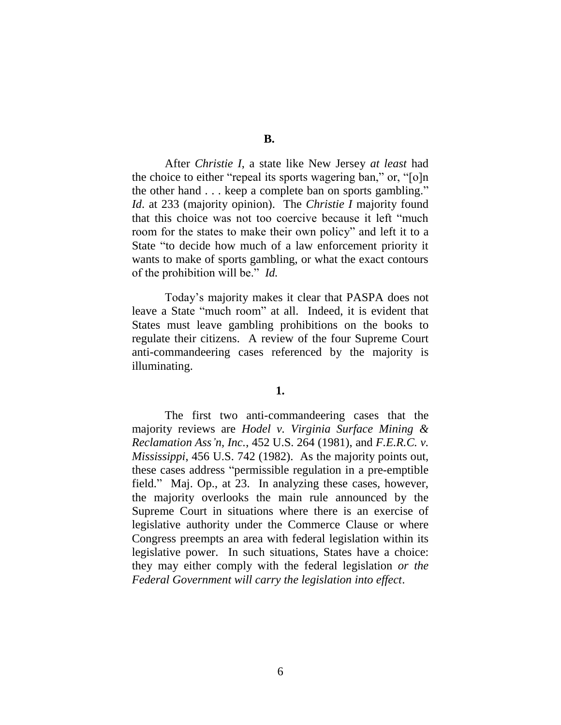After *Christie I*, a state like New Jersey *at least* had the choice to either "repeal its sports wagering ban," or, "[o]n the other hand . . . keep a complete ban on sports gambling." *Id*. at 233 (majority opinion). The *Christie I* majority found that this choice was not too coercive because it left "much room for the states to make their own policy" and left it to a State "to decide how much of a law enforcement priority it wants to make of sports gambling, or what the exact contours of the prohibition will be." *Id.* 

Today's majority makes it clear that PASPA does not leave a State "much room" at all. Indeed, it is evident that States must leave gambling prohibitions on the books to regulate their citizens. A review of the four Supreme Court anti-commandeering cases referenced by the majority is illuminating.

## **1.**

The first two anti-commandeering cases that the majority reviews are *Hodel v. Virginia Surface Mining & Reclamation Ass'n, Inc.*, 452 U.S. 264 (1981), and *F.E.R.C. v. Mississippi*, 456 U.S. 742 (1982). As the majority points out, these cases address "permissible regulation in a pre-emptible field." Maj. Op., at 23. In analyzing these cases, however, the majority overlooks the main rule announced by the Supreme Court in situations where there is an exercise of legislative authority under the Commerce Clause or where Congress preempts an area with federal legislation within its legislative power. In such situations, States have a choice: they may either comply with the federal legislation *or the Federal Government will carry the legislation into effect*.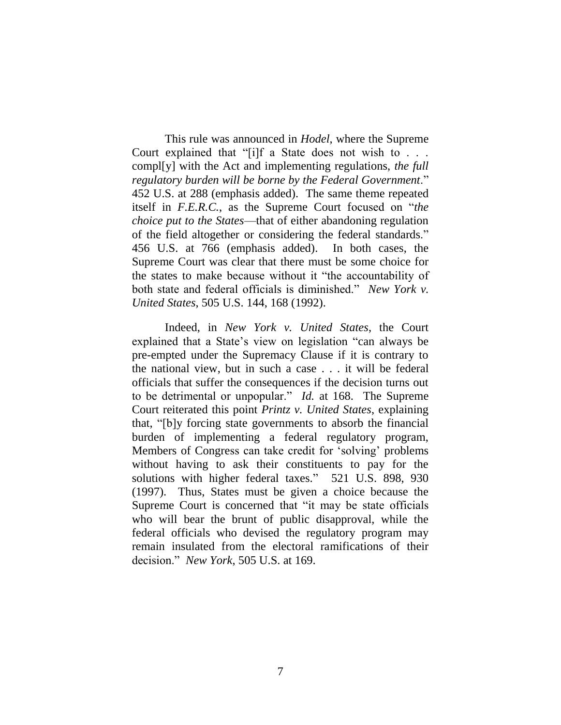This rule was announced in *Hodel*, where the Supreme Court explained that "[i]f a State does not wish to . . . compl[y] with the Act and implementing regulations, *the full regulatory burden will be borne by the Federal Government*." 452 U.S. at 288 (emphasis added). The same theme repeated itself in *F.E.R.C.*, as the Supreme Court focused on "*the choice put to the States*—that of either abandoning regulation of the field altogether or considering the federal standards." 456 U.S. at 766 (emphasis added). In both cases, the Supreme Court was clear that there must be some choice for the states to make because without it "the accountability of both state and federal officials is diminished." *New York v. United States*, 505 U.S. 144, 168 (1992).

Indeed, in *New York v. United States*, the Court explained that a State's view on legislation "can always be pre-empted under the Supremacy Clause if it is contrary to the national view, but in such a case . . . it will be federal officials that suffer the consequences if the decision turns out to be detrimental or unpopular." *Id.* at 168. The Supreme Court reiterated this point *Printz v. United States*, explaining that, "[b]y forcing state governments to absorb the financial burden of implementing a federal regulatory program, Members of Congress can take credit for 'solving' problems without having to ask their constituents to pay for the solutions with higher federal taxes." 521 U.S. 898, 930 (1997). Thus, States must be given a choice because the Supreme Court is concerned that "it may be state officials who will bear the brunt of public disapproval, while the federal officials who devised the regulatory program may remain insulated from the electoral ramifications of their decision." *New York*, 505 U.S. at 169.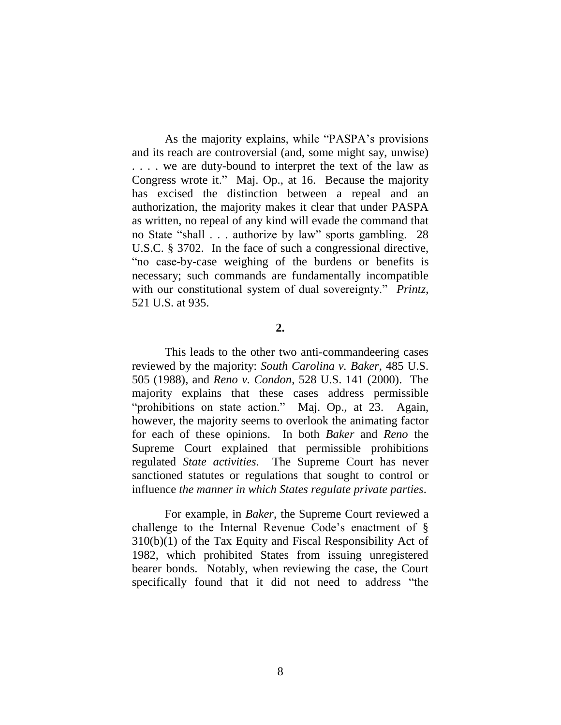As the majority explains, while "PASPA's provisions and its reach are controversial (and, some might say, unwise) . . . . we are duty-bound to interpret the text of the law as Congress wrote it." Maj. Op., at 16. Because the majority has excised the distinction between a repeal and an authorization, the majority makes it clear that under PASPA as written, no repeal of any kind will evade the command that no State "shall . . . authorize by law" sports gambling. 28 U.S.C. § 3702. In the face of such a congressional directive, "no case-by-case weighing of the burdens or benefits is necessary; such commands are fundamentally incompatible with our constitutional system of dual sovereignty." *Printz*, 521 U.S. at 935.

### **2.**

This leads to the other two anti-commandeering cases reviewed by the majority: *South Carolina v. Baker*, 485 U.S. 505 (1988), and *Reno v. Condon*, 528 U.S. 141 (2000). The majority explains that these cases address permissible "prohibitions on state action." Maj. Op., at 23. Again, however, the majority seems to overlook the animating factor for each of these opinions. In both *Baker* and *Reno* the Supreme Court explained that permissible prohibitions regulated *State activities*. The Supreme Court has never sanctioned statutes or regulations that sought to control or influence *the manner in which States regulate private parties*.

For example, in *Baker*, the Supreme Court reviewed a challenge to the Internal Revenue Code's enactment of § 310(b)(1) of the Tax Equity and Fiscal Responsibility Act of 1982, which prohibited States from issuing unregistered bearer bonds. Notably, when reviewing the case, the Court specifically found that it did not need to address "the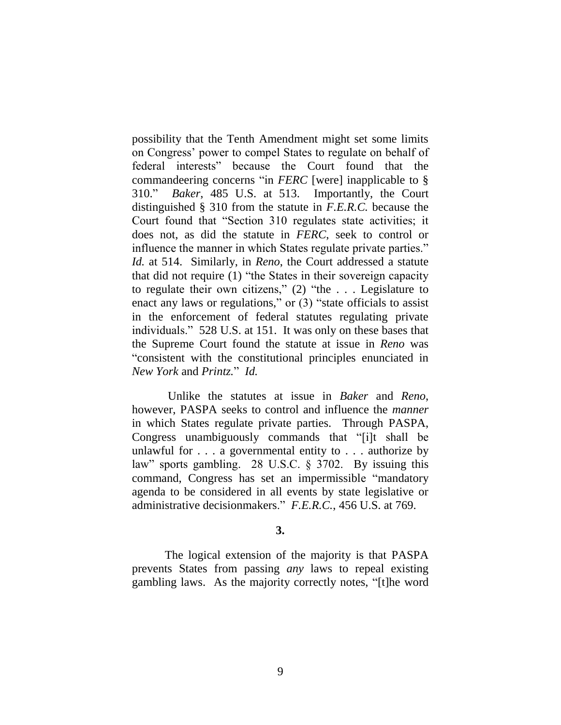possibility that the Tenth Amendment might set some limits on Congress' power to compel States to regulate on behalf of federal interests" because the Court found that the commandeering concerns "in *FERC* [were] inapplicable to § 310." *Baker*, 485 U.S. at 513. Importantly, the Court distinguished § 310 from the statute in *F.E.R.C.* because the Court found that "Section 310 regulates state activities; it does not, as did the statute in *FERC*, seek to control or influence the manner in which States regulate private parties." *Id.* at 514. Similarly, in *Reno*, the Court addressed a statute that did not require (1) "the States in their sovereign capacity to regulate their own citizens," (2) "the . . . Legislature to enact any laws or regulations," or (3) "state officials to assist in the enforcement of federal statutes regulating private individuals." 528 U.S. at 151. It was only on these bases that the Supreme Court found the statute at issue in *Reno* was "consistent with the constitutional principles enunciated in *New York* and *Printz.*" *Id.*

Unlike the statutes at issue in *Baker* and *Reno*, however, PASPA seeks to control and influence the *manner* in which States regulate private parties. Through PASPA, Congress unambiguously commands that "[i]t shall be unlawful for . . . a governmental entity to . . . authorize by law" sports gambling. 28 U.S.C. § 3702. By issuing this command, Congress has set an impermissible "mandatory agenda to be considered in all events by state legislative or administrative decisionmakers." *F.E.R.C.*, 456 U.S. at 769.

## **3.**

The logical extension of the majority is that PASPA prevents States from passing *any* laws to repeal existing gambling laws. As the majority correctly notes, "[t]he word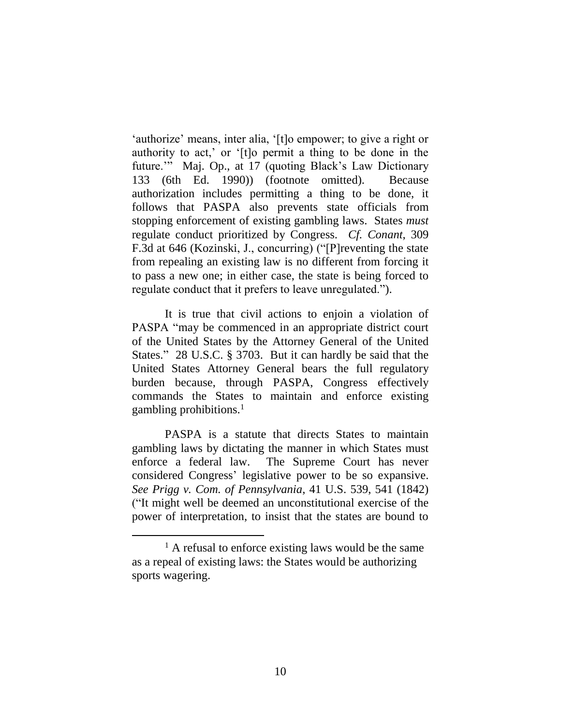'authorize' means, inter alia, '[t]o empower; to give a right or authority to act,' or '[t]o permit a thing to be done in the future." Maj. Op., at 17 (quoting Black's Law Dictionary 133 (6th Ed. 1990)) (footnote omitted). Because authorization includes permitting a thing to be done, it follows that PASPA also prevents state officials from stopping enforcement of existing gambling laws. States *must*  regulate conduct prioritized by Congress. *Cf. Conant*, 309 F.3d at 646 (Kozinski, J., concurring) ("[P]reventing the state from repealing an existing law is no different from forcing it to pass a new one; in either case, the state is being forced to regulate conduct that it prefers to leave unregulated.").

It is true that civil actions to enjoin a violation of PASPA "may be commenced in an appropriate district court of the United States by the Attorney General of the United States." 28 U.S.C. § 3703. But it can hardly be said that the United States Attorney General bears the full regulatory burden because, through PASPA, Congress effectively commands the States to maintain and enforce existing gambling prohibitions. $<sup>1</sup>$ </sup>

PASPA is a statute that directs States to maintain gambling laws by dictating the manner in which States must enforce a federal law. The Supreme Court has never considered Congress' legislative power to be so expansive. *See Prigg v. Com. of Pennsylvania*, 41 U.S. 539, 541 (1842) ("It might well be deemed an unconstitutional exercise of the power of interpretation, to insist that the states are bound to

 $<sup>1</sup>$  A refusal to enforce existing laws would be the same</sup> as a repeal of existing laws: the States would be authorizing sports wagering.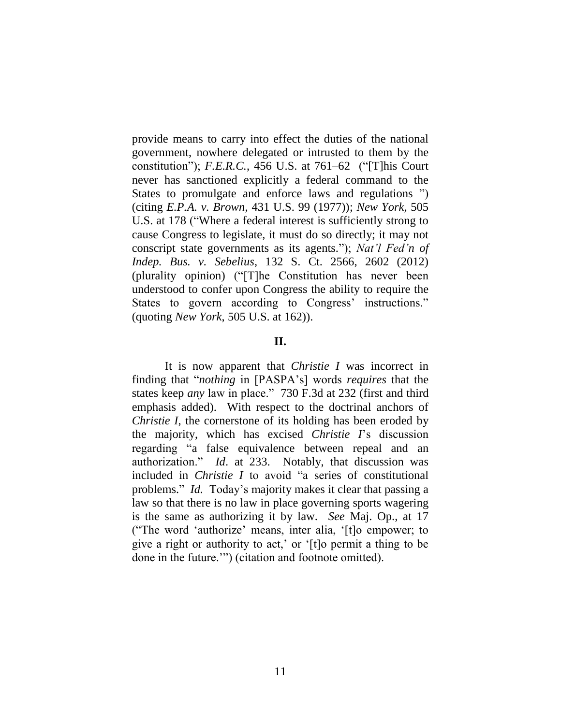provide means to carry into effect the duties of the national government, nowhere delegated or intrusted to them by the constitution"); *F.E.R.C.*, 456 U.S. at 761–62 ("[T]his Court never has sanctioned explicitly a federal command to the States to promulgate and enforce laws and regulations ") (citing *E.P.A. v. Brown*, 431 U.S. 99 (1977)); *New York*, 505 U.S. at 178 ("Where a federal interest is sufficiently strong to cause Congress to legislate, it must do so directly; it may not conscript state governments as its agents."); *Nat'l Fed'n of Indep. Bus. v. Sebelius*, 132 S. Ct. 2566, 2602 (2012) (plurality opinion) ("[T]he Constitution has never been understood to confer upon Congress the ability to require the States to govern according to Congress' instructions." (quoting *New York*, 505 U.S. at 162)).

### **II.**

It is now apparent that *Christie I* was incorrect in finding that "*nothing* in [PASPA's] words *requires* that the states keep *any* law in place." 730 F.3d at 232 (first and third emphasis added). With respect to the doctrinal anchors of *Christie I*, the cornerstone of its holding has been eroded by the majority, which has excised *Christie I*'s discussion regarding "a false equivalence between repeal and an authorization." *Id*. at 233. Notably, that discussion was included in *Christie I* to avoid "a series of constitutional problems." *Id.* Today's majority makes it clear that passing a law so that there is no law in place governing sports wagering is the same as authorizing it by law. *See* Maj. Op., at 17 ("The word 'authorize' means, inter alia, '[t]o empower; to give a right or authority to act,' or '[t]o permit a thing to be done in the future.'") (citation and footnote omitted).